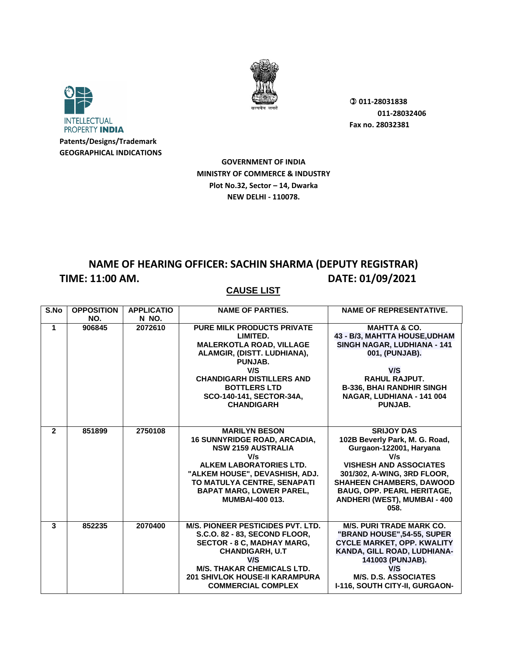



**GEOGRAPHICAL INDICATIONS**

 **011-28031838 011-28032406 Fax no. 28032381**

**GOVERNMENT OF INDIA MINISTRY OF COMMERCE & INDUSTRY Plot No.32, Sector – 14, Dwarka NEW DELHI - 110078.**

#### **NAME OF HEARING OFFICER: SACHIN SHARMA (DEPUTY REGISTRAR) TIME: 11:00 AM. DATE: 01/09/2021**

| S.No                 | <b>OPPOSITION</b> | <b>APPLICATIO</b> | <b>NAME OF PARTIES.</b>                  | <b>NAME OF REPRESENTATIVE.</b>      |
|----------------------|-------------------|-------------------|------------------------------------------|-------------------------------------|
|                      | NO.               | N NO.             |                                          |                                     |
| $\blacktriangleleft$ | 906845            | 2072610           | <b>PURE MILK PRODUCTS PRIVATE</b>        | <b>MAHTTA &amp; CO.</b>             |
|                      |                   |                   | LIMITED.                                 | 43 - B/3, MAHTTA HOUSE, UDHAM       |
|                      |                   |                   | <b>MALERKOTLA ROAD, VILLAGE</b>          | <b>SINGH NAGAR, LUDHIANA - 141</b>  |
|                      |                   |                   | ALAMGIR, (DISTT. LUDHIANA),              | 001, (PUNJAB).                      |
|                      |                   |                   | PUNJAB.                                  |                                     |
|                      |                   |                   | V/S                                      | V/S                                 |
|                      |                   |                   | <b>CHANDIGARH DISTILLERS AND</b>         | <b>RAHUL RAJPUT.</b>                |
|                      |                   |                   | <b>BOTTLERS LTD</b>                      | <b>B-336, BHAI RANDHIR SINGH</b>    |
|                      |                   |                   | SCO-140-141, SECTOR-34A,                 | NAGAR, LUDHIANA - 141 004           |
|                      |                   |                   | <b>CHANDIGARH</b>                        | PUNJAB.                             |
|                      |                   |                   |                                          |                                     |
|                      |                   |                   |                                          |                                     |
| $\overline{2}$       | 851899            | 2750108           | <b>MARILYN BESON</b>                     | <b>SRIJOY DAS</b>                   |
|                      |                   |                   | <b>16 SUNNYRIDGE ROAD, ARCADIA.</b>      | 102B Beverly Park, M. G. Road,      |
|                      |                   |                   | <b>NSW 2159 AUSTRALIA</b>                | Gurgaon-122001, Haryana             |
|                      |                   |                   | V/s                                      | V/s                                 |
|                      |                   |                   | ALKEM LABORATORIES LTD.                  | <b>VISHESH AND ASSOCIATES</b>       |
|                      |                   |                   | "ALKEM HOUSE", DEVASHISH, ADJ.           | 301/302, A-WING, 3RD FLOOR,         |
|                      |                   |                   | TO MATULYA CENTRE, SENAPATI              | <b>SHAHEEN CHAMBERS, DAWOOD</b>     |
|                      |                   |                   | <b>BAPAT MARG, LOWER PAREL,</b>          | <b>BAUG, OPP. PEARL HERITAGE,</b>   |
|                      |                   |                   | <b>MUMBAI-400 013.</b>                   | <b>ANDHERI (WEST), MUMBAI - 400</b> |
|                      |                   |                   |                                          | 058.                                |
|                      |                   |                   |                                          |                                     |
| 3                    | 852235            | 2070400           | <b>M/S. PIONEER PESTICIDES PVT. LTD.</b> | <b>M/S. PURI TRADE MARK CO.</b>     |
|                      |                   |                   | S.C.O. 82 - 83, SECOND FLOOR,            | "BRAND HOUSE", 54-55, SUPER         |
|                      |                   |                   | <b>SECTOR - 8 C, MADHAY MARG,</b>        | <b>CYCLE MARKET, OPP. KWALITY</b>   |
|                      |                   |                   | <b>CHANDIGARH, U.T</b>                   | KANDA, GILL ROAD, LUDHIANA-         |
|                      |                   |                   | V/S                                      | 141003 (PUNJAB).                    |
|                      |                   |                   | <b>M/S. THAKAR CHEMICALS LTD.</b>        | V/S                                 |
|                      |                   |                   | <b>201 SHIVLOK HOUSE-II KARAMPURA</b>    | <b>M/S. D.S. ASSOCIATES</b>         |
|                      |                   |                   | <b>COMMERCIAL COMPLEX</b>                | I-116, SOUTH CITY-II, GURGAON-      |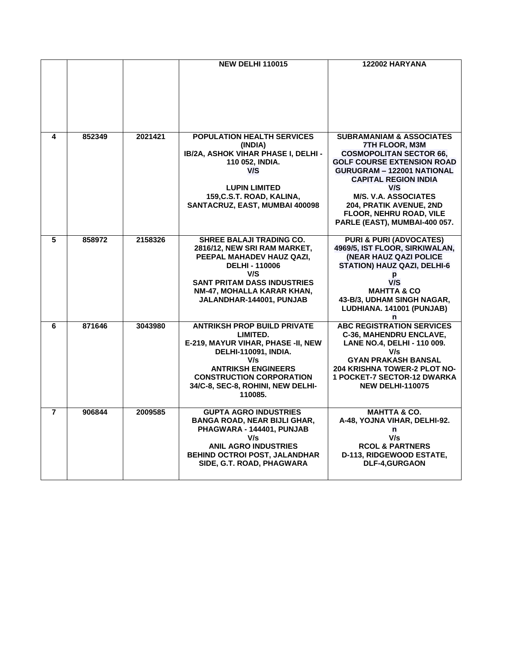|                         |        |         | <b>NEW DELHI 110015</b>                                         | 122002 HARYANA                                                       |
|-------------------------|--------|---------|-----------------------------------------------------------------|----------------------------------------------------------------------|
|                         |        |         |                                                                 |                                                                      |
|                         |        |         |                                                                 |                                                                      |
|                         |        |         |                                                                 |                                                                      |
|                         |        |         |                                                                 |                                                                      |
|                         |        |         |                                                                 |                                                                      |
|                         |        |         |                                                                 |                                                                      |
| 4                       | 852349 | 2021421 | <b>POPULATION HEALTH SERVICES</b>                               | <b>SUBRAMANIAM &amp; ASSOCIATES</b>                                  |
|                         |        |         | (INDIA)<br>IB/2A, ASHOK VIHAR PHASE I, DELHI -                  | 7TH FLOOR, M3M<br><b>COSMOPOLITAN SECTOR 66,</b>                     |
|                         |        |         | 110 052, INDIA.                                                 | <b>GOLF COURSE EXTENSION ROAD</b>                                    |
|                         |        |         | V/S                                                             | <b>GURUGRAM - 122001 NATIONAL</b>                                    |
|                         |        |         |                                                                 | <b>CAPITAL REGION INDIA</b>                                          |
|                         |        |         | <b>LUPIN LIMITED</b>                                            | V/S                                                                  |
|                         |        |         | 159, C.S.T. ROAD, KALINA,<br>SANTACRUZ, EAST, MUMBAI 400098     | <b>M/S. V.A. ASSOCIATES</b><br>204, PRATIK AVENUE, 2ND               |
|                         |        |         |                                                                 | FLOOR, NEHRU ROAD, VILE                                              |
|                         |        |         |                                                                 | PARLE (EAST), MUMBAI-400 057.                                        |
|                         |        |         |                                                                 |                                                                      |
| 5                       | 858972 | 2158326 | <b>SHREE BALAJI TRADING CO.</b><br>2816/12, NEW SRI RAM MARKET, | <b>PURI &amp; PURI (ADVOCATES)</b><br>4969/5, IST FLOOR, SIRKIWALAN, |
|                         |        |         | PEEPAL MAHADEV HAUZ QAZI,                                       | (NEAR HAUZ QAZI POLICE                                               |
|                         |        |         | <b>DELHI - 110006</b>                                           | <b>STATION) HAUZ QAZI, DELHI-6</b>                                   |
|                         |        |         | V/S                                                             | p                                                                    |
|                         |        |         | <b>SANT PRITAM DASS INDUSTRIES</b>                              | V/S                                                                  |
|                         |        |         | NM-47, MOHALLA KARAR KHAN,<br>JALANDHAR-144001, PUNJAB          | <b>MAHTTA &amp; CO</b><br>43-B/3, UDHAM SINGH NAGAR,                 |
|                         |        |         |                                                                 | LUDHIANA. 141001 (PUNJAB)                                            |
|                         |        |         |                                                                 | n                                                                    |
| 6                       | 871646 | 3043980 | <b>ANTRIKSH PROP BUILD PRIVATE</b>                              | <b>ABC REGISTRATION SERVICES</b>                                     |
|                         |        |         | LIMITED.<br>E-219, MAYUR VIHAR, PHASE -II, NEW                  | <b>C-36, MAHENDRU ENCLAVE,</b><br>LANE NO.4, DELHI - 110 009.        |
|                         |        |         | DELHI-110091, INDIA.                                            | V/s                                                                  |
|                         |        |         | V/s                                                             | <b>GYAN PRAKASH BANSAL</b>                                           |
|                         |        |         | <b>ANTRIKSH ENGINEERS</b>                                       | <b>204 KRISHNA TOWER-2 PLOT NO-</b>                                  |
|                         |        |         | <b>CONSTRUCTION CORPORATION</b>                                 | <b>1 POCKET-7 SECTOR-12 DWARKA</b>                                   |
|                         |        |         | 34/C-8, SEC-8, ROHINI, NEW DELHI-<br>110085.                    | <b>NEW DELHI-110075</b>                                              |
|                         |        |         |                                                                 |                                                                      |
| $\overline{\mathbf{7}}$ | 906844 | 2009585 | <b>GUPTA AGRO INDUSTRIES</b>                                    | <b>MAHTTA &amp; CO.</b>                                              |
|                         |        |         | <b>BANGA ROAD, NEAR BIJLI GHAR,</b>                             | A-48, YOJNA VIHAR, DELHI-92.                                         |
|                         |        |         | PHAGWARA - 144401, PUNJAB<br>V/s                                | n<br>V/s                                                             |
|                         |        |         | <b>ANIL AGRO INDUSTRIES</b>                                     | <b>RCOL &amp; PARTNERS</b>                                           |
|                         |        |         | BEHIND OCTROI POST, JALANDHAR                                   | D-113, RIDGEWOOD ESTATE,                                             |
|                         |        |         | SIDE, G.T. ROAD, PHAGWARA                                       | DLF-4,GURGAON                                                        |
|                         |        |         |                                                                 |                                                                      |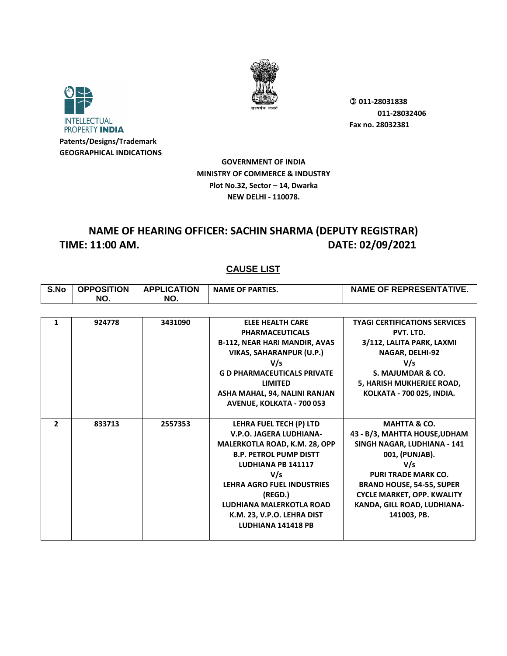



**GOVERNMENT OF INDIA MINISTRY OF COMMERCE & INDUSTRY Plot No.32, Sector – 14, Dwarka NEW DELHI - 110078.**

## **NAME OF HEARING OFFICER: SACHIN SHARMA (DEPUTY REGISTRAR) TIME: 11:00 AM. DATE: 02/09/2021**

| S.No           | <b>OPPOSITION</b><br>NO. | <b>APPLICATION</b><br>NO. | <b>NAME OF PARTIES.</b>              | <b>NAME OF REPRESENTATIVE.</b>       |
|----------------|--------------------------|---------------------------|--------------------------------------|--------------------------------------|
|                |                          |                           |                                      |                                      |
| 1              | 924778                   | 3431090                   | <b>ELEE HEALTH CARE</b>              | <b>TYAGI CERTIFICATIONS SERVICES</b> |
|                |                          |                           | <b>PHARMACEUTICALS</b>               | PVT. LTD.                            |
|                |                          |                           | <b>B-112, NEAR HARI MANDIR, AVAS</b> | 3/112, LALITA PARK, LAXMI            |
|                |                          |                           | <b>VIKAS, SAHARANPUR (U.P.)</b>      | NAGAR, DELHI-92                      |
|                |                          |                           | V/s                                  | V/s                                  |
|                |                          |                           | <b>G D PHARMACEUTICALS PRIVATE</b>   | S. MAJUMDAR & CO.                    |
|                |                          |                           | <b>LIMITED</b>                       | 5, HARISH MUKHERJEE ROAD,            |
|                |                          |                           | ASHA MAHAL, 94, NALINI RANJAN        | KOLKATA - 700 025, INDIA.            |
|                |                          |                           | <b>AVENUE, KOLKATA - 700 053</b>     |                                      |
|                |                          |                           |                                      |                                      |
| $\mathfrak{p}$ | 833713                   | 2557353                   | LEHRA FUEL TECH (P) LTD              | <b>MAHTTA &amp; CO.</b>              |
|                |                          |                           | V.P.O. JAGERA LUDHIANA-              | 43 - B/3, MAHTTA HOUSE, UDHAM        |
|                |                          |                           | MALERKOTLA ROAD, K.M. 28, OPP        | SINGH NAGAR, LUDHIANA - 141          |
|                |                          |                           | <b>B.P. PETROL PUMP DISTT</b>        | 001, (PUNJAB).                       |
|                |                          |                           | <b>LUDHIANA PB 141117</b>            | V/s                                  |
|                |                          |                           | V/s                                  | <b>PURI TRADE MARK CO.</b>           |
|                |                          |                           | <b>LEHRA AGRO FUEL INDUSTRIES</b>    | <b>BRAND HOUSE, 54-55, SUPER</b>     |
|                |                          |                           | (REGD.)                              | <b>CYCLE MARKET, OPP. KWALITY</b>    |
|                |                          |                           | LUDHIANA MALERKOTLA ROAD             | KANDA, GILL ROAD, LUDHIANA-          |
|                |                          |                           | K.M. 23, V.P.O. LEHRA DIST           | 141003, PB.                          |
|                |                          |                           | LUDHIANA 141418 PB                   |                                      |
|                |                          |                           |                                      |                                      |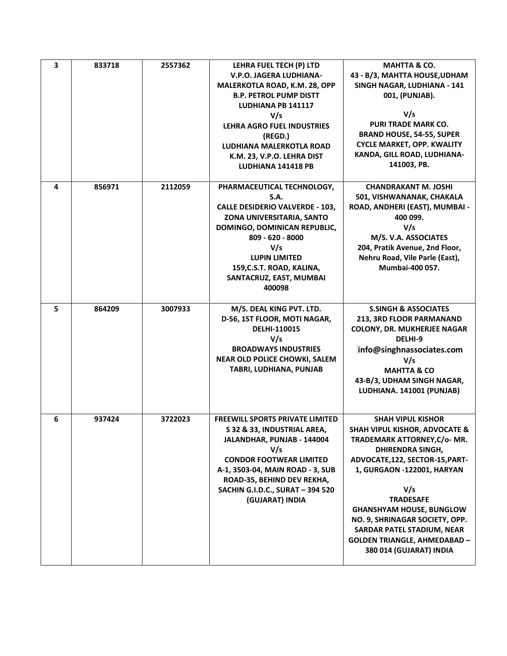| 3 | 833718 | 2557362 | LEHRA FUEL TECH (P) LTD<br><b>V.P.O. JAGERA LUDHIANA-</b><br>MALERKOTLA ROAD, K.M. 28, OPP<br><b>B.P. PETROL PUMP DISTT</b><br>LUDHIANA PB 141117<br>V/s<br><b>LEHRA AGRO FUEL INDUSTRIES</b><br>(REGD.)<br><b>LUDHIANA MALERKOTLA ROAD</b><br>K.M. 23, V.P.O. LEHRA DIST<br>LUDHIANA 141418 PB | <b>MAHTTA &amp; CO.</b><br>43 - B/3, MAHTTA HOUSE, UDHAM<br>SINGH NAGAR, LUDHIANA - 141<br>001, (PUNJAB).<br>V/s<br>PURI TRADE MARK CO.<br><b>BRAND HOUSE, 54-55, SUPER</b><br><b>CYCLE MARKET, OPP. KWALITY</b><br>KANDA, GILL ROAD, LUDHIANA-<br>141003, PB.                                                                                                                                          |
|---|--------|---------|-------------------------------------------------------------------------------------------------------------------------------------------------------------------------------------------------------------------------------------------------------------------------------------------------|---------------------------------------------------------------------------------------------------------------------------------------------------------------------------------------------------------------------------------------------------------------------------------------------------------------------------------------------------------------------------------------------------------|
| 4 | 856971 | 2112059 | PHARMACEUTICAL TECHNOLOGY,<br>S.A.<br><b>CALLE DESIDERIO VALVERDE - 103,</b><br>ZONA UNIVERSITARIA, SANTO<br>DOMINGO, DOMINICAN REPUBLIC,<br>809 - 620 - 8000<br>V/s<br><b>LUPIN LIMITED</b><br>159, C.S.T. ROAD, KALINA,<br>SANTACRUZ, EAST, MUMBAI<br>400098                                  | <b>CHANDRAKANT M. JOSHI</b><br>501, VISHWANANAK, CHAKALA<br>ROAD, ANDHERI (EAST), MUMBAI -<br>400 099.<br>V/s<br>M/S. V.A. ASSOCIATES<br>204, Pratik Avenue, 2nd Floor,<br>Nehru Road, Vile Parle (East),<br>Mumbai-400 057.                                                                                                                                                                            |
| 5 | 864209 | 3007933 | M/S. DEAL KING PVT. LTD.<br>D-56, 1ST FLOOR, MOTI NAGAR,<br>DELHI-110015<br>V/s<br><b>BROADWAYS INDUSTRIES</b><br><b>NEAR OLD POLICE CHOWKI, SALEM</b><br>TABRI, LUDHIANA, PUNJAB                                                                                                               | <b>S.SINGH &amp; ASSOCIATES</b><br>213, 3RD FLOOR PARMANAND<br><b>COLONY, DR. MUKHERJEE NAGAR</b><br>DELHI-9<br>info@singhnassociates.com<br>V/s<br><b>MAHTTA &amp; CO</b><br>43-B/3, UDHAM SINGH NAGAR,<br>LUDHIANA. 141001 (PUNJAB)                                                                                                                                                                   |
| 6 | 937424 | 3722023 | <b>FREEWILL SPORTS PRIVATE LIMITED</b><br>S 32 & 33, INDUSTRIAL AREA<br>JALANDHAR, PUNJAB - 144004<br>V/s<br><b>CONDOR FOOTWEAR LIMITED</b><br>A-1, 3503-04, MAIN ROAD - 3, SUB<br>ROAD-35, BEHIND DEV REKHA,<br>SACHIN G.I.D.C., SURAT - 394 520<br>(GUJARAT) INDIA                            | <b>SHAH VIPUL KISHOR</b><br><b>SHAH VIPUL KISHOR, ADVOCATE &amp;</b><br>TRADEMARK ATTORNEY, C/o- MR.<br><b>DHIRENDRA SINGH,</b><br>ADVOCATE, 122, SECTOR-15, PART-<br>1, GURGAON -122001, HARYAN<br>V/s<br><b>TRADESAFE</b><br><b>GHANSHYAM HOUSE, BUNGLOW</b><br>NO. 9, SHRINAGAR SOCIETY, OPP.<br><b>SARDAR PATEL STADIUM, NEAR</b><br><b>GOLDEN TRIANGLE, AHMEDABAD -</b><br>380 014 (GUJARAT) INDIA |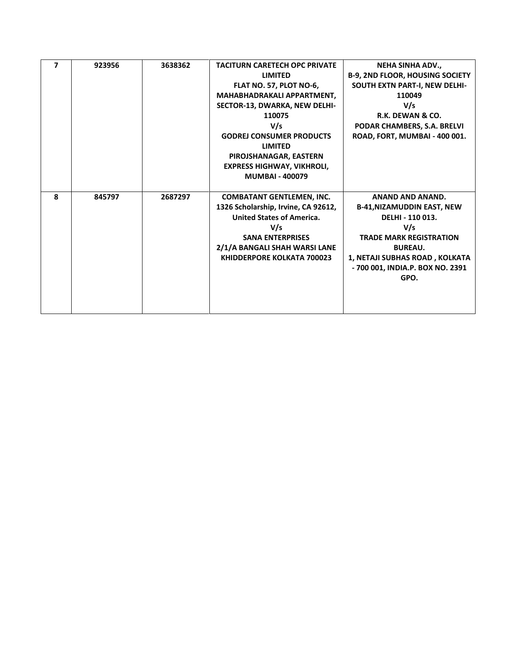| $\overline{\mathbf{z}}$ | 923956 | 3638362 | <b>TACITURN CARETECH OPC PRIVATE</b> | <b>NEHA SINHA ADV</b>                  |
|-------------------------|--------|---------|--------------------------------------|----------------------------------------|
|                         |        |         | <b>LIMITED</b>                       |                                        |
|                         |        |         |                                      | <b>B-9, 2ND FLOOR, HOUSING SOCIETY</b> |
|                         |        |         | FLAT NO. 57, PLOT NO-6,              | SOUTH EXTN PART-I, NEW DELHI-          |
|                         |        |         | MAHABHADRAKALI APPARTMENT,           | 110049                                 |
|                         |        |         | SECTOR-13, DWARKA, NEW DELHI-        | V/s                                    |
|                         |        |         | 110075                               | R.K. DEWAN & CO.                       |
|                         |        |         | V/s                                  | PODAR CHAMBERS, S.A. BRELVI            |
|                         |        |         | <b>GODREJ CONSUMER PRODUCTS</b>      | ROAD, FORT, MUMBAI - 400 001.          |
|                         |        |         | <b>LIMITED</b>                       |                                        |
|                         |        |         | PIROJSHANAGAR, EASTERN               |                                        |
|                         |        |         | <b>EXPRESS HIGHWAY, VIKHROLI,</b>    |                                        |
|                         |        |         | <b>MUMBAI - 400079</b>               |                                        |
|                         |        |         |                                      |                                        |
| $\mathbf{R}$            | 845797 | 2687297 | <b>COMBATANT GENTLEMEN, INC.</b>     | <b>ANAND AND ANAND.</b>                |
|                         |        |         | 1326 Scholarship, Irvine, CA 92612,  | <b>B-41, NIZAMUDDIN EAST, NEW</b>      |
|                         |        |         | <b>United States of America.</b>     | DELHI - 110 013.                       |
|                         |        |         | V/s                                  | V/s                                    |
|                         |        |         |                                      |                                        |
|                         |        |         | <b>SANA ENTERPRISES</b>              | <b>TRADE MARK REGISTRATION</b>         |
|                         |        |         | 2/1/A BANGALI SHAH WARSI LANE        | <b>BUREAU.</b>                         |
|                         |        |         | <b>KHIDDERPORE KOLKATA 700023</b>    | 1, NETAJI SUBHAS ROAD, KOLKATA         |
|                         |        |         |                                      | - 700 001, INDIA.P. BOX NO. 2391       |
|                         |        |         |                                      | GPO.                                   |
|                         |        |         |                                      |                                        |
|                         |        |         |                                      |                                        |
|                         |        |         |                                      |                                        |
|                         |        |         |                                      |                                        |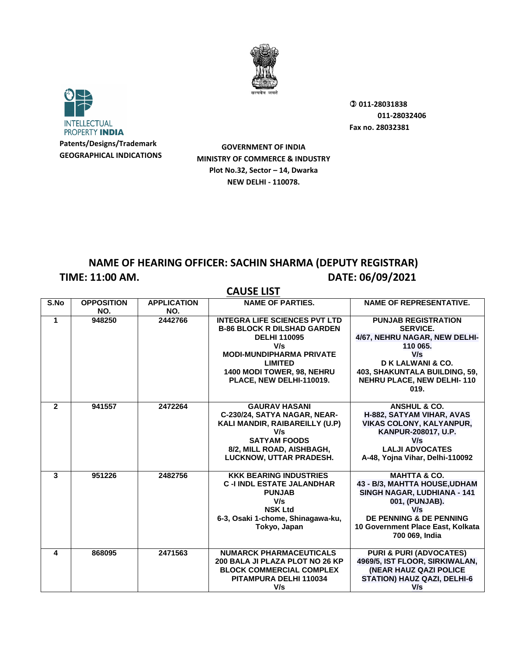



**GOVERNMENT OF INDIA MINISTRY OF COMMERCE & INDUSTRY Plot No.32, Sector – 14, Dwarka NEW DELHI - 110078.**

## **NAME OF HEARING OFFICER: SACHIN SHARMA (DEPUTY REGISTRAR) TIME: 11:00 AM. DATE: 06/09/2021**

| <b>CAUSE LIST</b> |                   |                    |                                      |                                    |
|-------------------|-------------------|--------------------|--------------------------------------|------------------------------------|
| S.No              | <b>OPPOSITION</b> | <b>APPLICATION</b> | <b>NAME OF PARTIES.</b>              | <b>NAME OF REPRESENTATIVE.</b>     |
|                   | NO.               | NO.                |                                      |                                    |
| 1                 | 948250            | 2442766            | <b>INTEGRA LIFE SCIENCES PVT LTD</b> | <b>PUNJAB REGISTRATION</b>         |
|                   |                   |                    | <b>B-86 BLOCK R DILSHAD GARDEN</b>   | <b>SERVICE.</b>                    |
|                   |                   |                    | <b>DELHI 110095</b>                  | 4/67, NEHRU NAGAR, NEW DELHI-      |
|                   |                   |                    | V/s                                  | 110 065.                           |
|                   |                   |                    | <b>MODI-MUNDIPHARMA PRIVATE</b>      | V/s                                |
|                   |                   |                    | <b>LIMITED</b>                       | D K LALWANI & CO.                  |
|                   |                   |                    | 1400 MODI TOWER, 98, NEHRU           | 403, SHAKUNTALA BUILDING, 59,      |
|                   |                   |                    | PLACE, NEW DELHI-110019.             | <b>NEHRU PLACE, NEW DELHI-110</b>  |
|                   |                   |                    |                                      | 019.                               |
|                   |                   |                    |                                      |                                    |
| $\overline{2}$    | 941557            | 2472264            | <b>GAURAV HASANI</b>                 | <b>ANSHUL &amp; CO.</b>            |
|                   |                   |                    | C-230/24, SATYA NAGAR, NEAR-         | H-882, SATYAM VIHAR, AVAS          |
|                   |                   |                    | KALI MANDIR, RAIBAREILLY (U.P)       | <b>VIKAS COLONY, KALYANPUR,</b>    |
|                   |                   |                    | V/s                                  | KANPUR-208017, U.P.                |
|                   |                   |                    | <b>SATYAM FOODS</b>                  | V/s                                |
|                   |                   |                    | 8/2, MILL ROAD, AISHBAGH,            | <b>LALJI ADVOCATES</b>             |
|                   |                   |                    | LUCKNOW, UTTAR PRADESH.              | A-48, Yojna Vihar, Delhi-110092    |
| 3                 | 951226            | 2482756            | <b>KKK BEARING INDUSTRIES</b>        | <b>MAHTTA &amp; CO.</b>            |
|                   |                   |                    | <b>C-I INDL ESTATE JALANDHAR</b>     | 43 - B/3, MAHTTA HOUSE, UDHAM      |
|                   |                   |                    | <b>PUNJAB</b>                        | <b>SINGH NAGAR, LUDHIANA - 141</b> |
|                   |                   |                    | V/s                                  | 001, (PUNJAB).                     |
|                   |                   |                    | <b>NSK Ltd</b>                       | V/s                                |
|                   |                   |                    | 6-3, Osaki 1-chome, Shinagawa-ku,    | DE PENNING & DE PENNING            |
|                   |                   |                    | Tokyo, Japan                         | 10 Government Place East, Kolkata  |
|                   |                   |                    |                                      | 700 069, India                     |
|                   |                   |                    |                                      |                                    |
| 4                 | 868095            | 2471563            | <b>NUMARCK PHARMACEUTICALS</b>       | <b>PURI &amp; PURI (ADVOCATES)</b> |
|                   |                   |                    | 200 BALA JI PLAZA PLOT NO 26 KP      | 4969/5, IST FLOOR, SIRKIWALAN,     |
|                   |                   |                    | <b>BLOCK COMMERCIAL COMPLEX</b>      | (NEAR HAUZ QAZI POLICE             |
|                   |                   |                    | PITAMPURA DELHI 110034               | <b>STATION) HAUZ QAZI, DELHI-6</b> |
|                   |                   |                    | V/s                                  | V/s                                |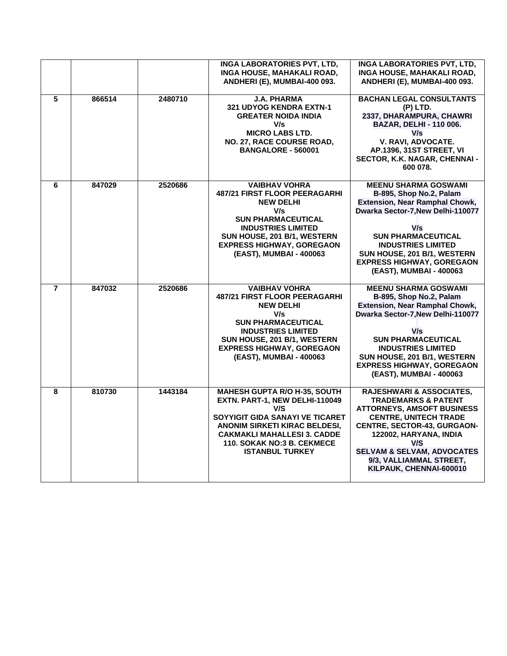|                |        |         | <b>INGA LABORATORIES PVT, LTD,</b><br>INGA HOUSE, MAHAKALI ROAD,<br>ANDHERI (E), MUMBAI-400 093.                                                                                                                                                             | <b>INGA LABORATORIES PVT, LTD,</b><br>INGA HOUSE, MAHAKALI ROAD,<br>ANDHERI (E), MUMBAI-400 093.                                                                                                                                                                                                                 |
|----------------|--------|---------|--------------------------------------------------------------------------------------------------------------------------------------------------------------------------------------------------------------------------------------------------------------|------------------------------------------------------------------------------------------------------------------------------------------------------------------------------------------------------------------------------------------------------------------------------------------------------------------|
| 5              | 866514 | 2480710 | <b>J.A. PHARMA</b><br>321 UDYOG KENDRA EXTN-1<br><b>GREATER NOIDA INDIA</b><br>V/s<br><b>MICRO LABS LTD.</b><br>NO. 27, RACE COURSE ROAD,<br><b>BANGALORE - 560001</b>                                                                                       | <b>BACHAN LEGAL CONSULTANTS</b><br>(P) LTD.<br>2337, DHARAMPURA, CHAWRI<br><b>BAZAR, DELHI - 110 006.</b><br>V/s<br>V. RAVI, ADVOCATE.<br><b>AP.1396, 31ST STREET, VI</b><br>SECTOR, K.K. NAGAR, CHENNAI -<br>600 078.                                                                                           |
| 6              | 847029 | 2520686 | <b>VAIBHAV VOHRA</b><br><b>487/21 FIRST FLOOR PEERAGARHI</b><br><b>NEW DELHI</b><br>V/s<br><b>SUN PHARMACEUTICAL</b><br><b>INDUSTRIES LIMITED</b><br>SUN HOUSE, 201 B/1, WESTERN<br><b>EXPRESS HIGHWAY, GOREGAON</b><br>(EAST), MUMBAI - 400063              | <b>MEENU SHARMA GOSWAMI</b><br>B-895, Shop No.2, Palam<br><b>Extension, Near Ramphal Chowk,</b><br>Dwarka Sector-7, New Delhi-110077<br>V/s<br><b>SUN PHARMACEUTICAL</b><br><b>INDUSTRIES LIMITED</b><br>SUN HOUSE, 201 B/1, WESTERN<br><b>EXPRESS HIGHWAY, GOREGAON</b><br>(EAST), MUMBAI - 400063              |
| $\overline{7}$ | 847032 | 2520686 | <b>VAIBHAV VOHRA</b><br><b>487/21 FIRST FLOOR PEERAGARHI</b><br><b>NEW DELHI</b><br>V/s<br><b>SUN PHARMACEUTICAL</b><br><b>INDUSTRIES LIMITED</b><br>SUN HOUSE, 201 B/1, WESTERN<br><b>EXPRESS HIGHWAY, GOREGAON</b><br>(EAST), MUMBAI - 400063              | <b>MEENU SHARMA GOSWAMI</b><br>B-895, Shop No.2, Palam<br><b>Extension, Near Ramphal Chowk,</b><br>Dwarka Sector-7, New Delhi-110077<br>V/s<br><b>SUN PHARMACEUTICAL</b><br><b>INDUSTRIES LIMITED</b><br>SUN HOUSE, 201 B/1, WESTERN<br><b>EXPRESS HIGHWAY, GOREGAON</b><br>(EAST), MUMBAI - 400063              |
| 8              | 810730 | 1443184 | <b>MAHESH GUPTA R/O H-35, SOUTH</b><br>EXTN. PART-1, NEW DELHI-110049<br>V/S<br>SOYYIGIT GIDA SANAYI VE TICARET<br><b>ANONIM SIRKETI KIRAC BELDESI,</b><br><b>CAKMAKLI MAHALLESI 3. CADDE</b><br><b>110. SOKAK NO:3 B. CEKMECE</b><br><b>ISTANBUL TURKEY</b> | <b>RAJESHWARI &amp; ASSOCIATES,</b><br><b>TRADEMARKS &amp; PATENT</b><br><b>ATTORNEYS, AMSOFT BUSINESS</b><br><b>CENTRE, UNITECH TRADE</b><br><b>CENTRE, SECTOR-43, GURGAON-</b><br>122002, HARYANA, INDIA<br>V/S<br><b>SELVAM &amp; SELVAM, ADVOCATES</b><br>9/3, VALLIAMMAL STREET,<br>KILPAUK, CHENNAI-600010 |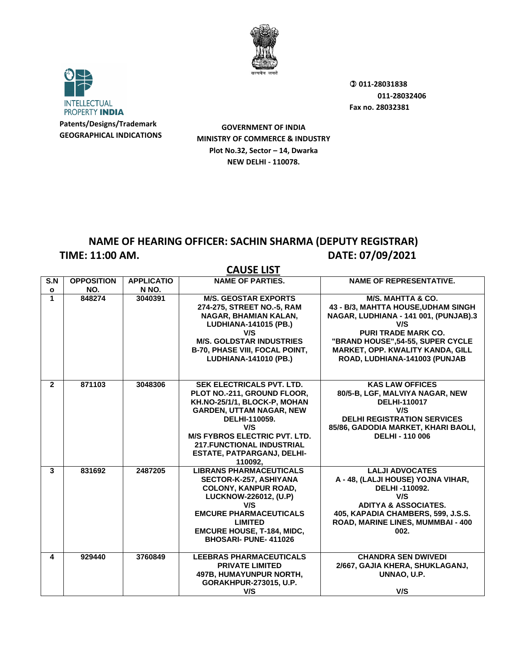



**GOVERNMENT OF INDIA MINISTRY OF COMMERCE & INDUSTRY Plot No.32, Sector – 14, Dwarka NEW DELHI - 110078.**

#### **NAME OF HEARING OFFICER: SACHIN SHARMA (DEPUTY REGISTRAR) TIME: 11:00 AM. DATE: 07/09/2021**

|                |                   |                   | <b>UNUJL LIJI</b>                                                                                                                                                                                                                                                                      |                                                                                                                                                                                                                                                                    |
|----------------|-------------------|-------------------|----------------------------------------------------------------------------------------------------------------------------------------------------------------------------------------------------------------------------------------------------------------------------------------|--------------------------------------------------------------------------------------------------------------------------------------------------------------------------------------------------------------------------------------------------------------------|
| S.N            | <b>OPPOSITION</b> | <b>APPLICATIO</b> | <b>NAME OF PARTIES.</b>                                                                                                                                                                                                                                                                | <b>NAME OF REPRESENTATIVE.</b>                                                                                                                                                                                                                                     |
| $\mathbf{o}$   | NO.               | N NO.             |                                                                                                                                                                                                                                                                                        |                                                                                                                                                                                                                                                                    |
| 1              | 848274            | 3040391           | <b>M/S. GEOSTAR EXPORTS</b><br>274-275, STREET NO.-5, RAM<br>NAGAR, BHAMIAN KALAN,<br><b>LUDHIANA-141015 (PB.)</b><br>V/S<br><b>M/S. GOLDSTAR INDUSTRIES</b><br><b>B-70, PHASE VIII, FOCAL POINT,</b><br><b>LUDHIANA-141010 (PB.)</b>                                                  | <b>M/S. MAHTTA &amp; CO.</b><br>43 - B/3, MAHTTA HOUSE, UDHAM SINGH<br>NAGAR, LUDHIANA - 141 001, (PUNJAB).3<br>V/S<br><b>PURI TRADE MARK CO.</b><br>"BRAND HOUSE", 54-55, SUPER CYCLE<br><b>MARKET, OPP. KWALITY KANDA, GILL</b><br>ROAD, LUDHIANA-141003 (PUNJAB |
| $\overline{2}$ | 871103            | 3048306           | <b>SEK ELECTRICALS PVT. LTD.</b><br>PLOT NO.-211, GROUND FLOOR,<br>KH.NO-25/1/1, BLOCK-P, MOHAN<br><b>GARDEN, UTTAM NAGAR, NEW</b><br>DELHI-110059.<br>V/S<br><b>M/S FYBROS ELECTRIC PVT. LTD.</b><br><b>217.FUNCTIONAL INDUSTRIAL</b><br><b>ESTATE, PATPARGANJ, DELHI-</b><br>110092. | <b>KAS LAW OFFICES</b><br>80/5-B, LGF, MALVIYA NAGAR, NEW<br><b>DELHI-110017</b><br>V/S<br><b>DELHI REGISTRATION SERVICES</b><br>85/86, GADODIA MARKET, KHARI BAOLI,<br><b>DELHI - 110 006</b>                                                                     |
| $\mathbf{3}$   | 831692            | 2487205           | <b>LIBRANS PHARMACEUTICALS</b><br>SECTOR-K-257, ASHIYANA<br><b>COLONY, KANPUR ROAD,</b><br>LUCKNOW-226012, (U.P)<br>V/S<br><b>EMCURE PHARMACEUTICALS</b><br><b>LIMITED</b><br><b>EMCURE HOUSE, T-184, MIDC.</b><br><b>BHOSARI- PUNE-411026</b>                                         | <b>LALJI ADVOCATES</b><br>A - 48, (LALJI HOUSE) YOJNA VIHAR,<br>DELHI-110092.<br>V/S<br><b>ADITYA &amp; ASSOCIATES.</b><br>405. KAPADIA CHAMBERS, 599, J.S.S.<br>ROAD, MARINE LINES, MUMMBAI - 400<br>002.                                                         |
| 4              | 929440            | 3760849           | <b>LEEBRAS PHARMACEUTICALS</b><br><b>PRIVATE LIMITED</b><br>497B, HUMAYUNPUR NORTH,<br>GORAKHPUR-273015, U.P.<br>V/S                                                                                                                                                                   | <b>CHANDRA SEN DWIVEDI</b><br>2/667, GAJIA KHERA, SHUKLAGANJ,<br>UNNAO, U.P.<br>V/S                                                                                                                                                                                |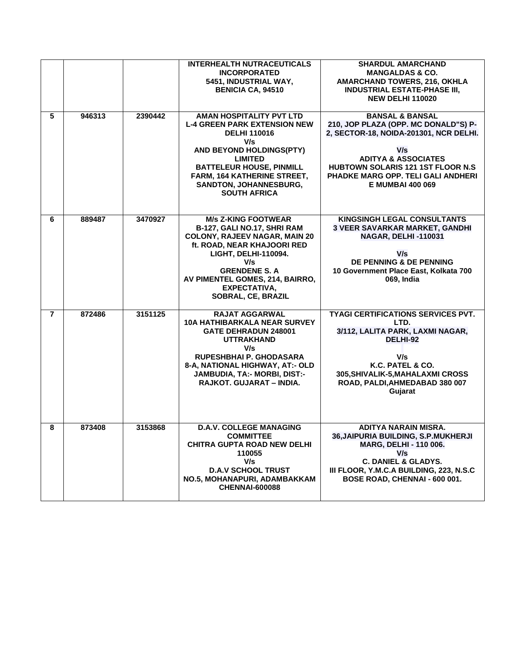|                |        |         | <b>INTERHEALTH NUTRACEUTICALS</b><br><b>INCORPORATED</b><br>5451, INDUSTRIAL WAY,<br><b>BENICIA CA, 94510</b>                                                                                                                                                                | <b>SHARDUL AMARCHAND</b><br><b>MANGALDAS &amp; CO.</b><br><b>AMARCHAND TOWERS, 216, OKHLA</b><br><b>INDUSTRIAL ESTATE-PHASE III,</b><br><b>NEW DELHI 110020</b>                                                                                                            |
|----------------|--------|---------|------------------------------------------------------------------------------------------------------------------------------------------------------------------------------------------------------------------------------------------------------------------------------|----------------------------------------------------------------------------------------------------------------------------------------------------------------------------------------------------------------------------------------------------------------------------|
| 5              | 946313 | 2390442 | AMAN HOSPITALITY PVT LTD<br><b>L-4 GREEN PARK EXTENSION NEW</b><br><b>DELHI 110016</b><br>V/s<br>AND BEYOND HOLDINGS(PTY)<br><b>LIMITED</b><br><b>BATTELEUR HOUSE, PINMILL</b><br><b>FARM, 164 KATHERINE STREET,</b><br><b>SANDTON, JOHANNESBURG,</b><br><b>SOUTH AFRICA</b> | <b>BANSAL &amp; BANSAL</b><br>210, JOP PLAZA (OPP. MC DONALD"S) P-<br>2, SECTOR-18, NOIDA-201301, NCR DELHI.<br>V/s<br><b>ADITYA &amp; ASSOCIATES</b><br><b>HUBTOWN SOLARIS 121 1ST FLOOR N.S.</b><br><b>PHADKE MARG OPP. TELI GALI ANDHERI</b><br><b>E MUMBAI 400 069</b> |
| 6              | 889487 | 3470927 | <b>M/s Z-KING FOOTWEAR</b><br>B-127, GALI NO.17, SHRI RAM<br><b>COLONY, RAJEEV NAGAR, MAIN 20</b><br>ft. ROAD, NEAR KHAJOORI RED<br>LIGHT, DELHI-110094.<br>V/s<br><b>GRENDENE S. A</b><br>AV PIMENTEL GOMES, 214, BAIRRO,<br>EXPECTATIVA,<br>SOBRAL, CE, BRAZIL             | KINGSINGH LEGAL CONSULTANTS<br>3 VEER SAVARKAR MARKET, GANDHI<br><b>NAGAR, DELHI-110031</b><br>V/s<br><b>DE PENNING &amp; DE PENNING</b><br>10 Government Place East, Kolkata 700<br>069, India                                                                            |
| $\overline{7}$ | 872486 | 3151125 | <b>RAJAT AGGARWAL</b><br><b>10A HATHIBARKALA NEAR SURVEY</b><br><b>GATE DEHRADUN 248001</b><br><b>UTTRAKHAND</b><br>V/s<br>RUPESHBHAI P. GHODASARA<br>8-A, NATIONAL HIGHWAY, AT:- OLD<br>JAMBUDIA, TA:- MORBI, DIST:-<br>RAJKOT. GUJARAT - INDIA.                            | <b>TYAGI CERTIFICATIONS SERVICES PVT.</b><br>LTD.<br>3/112, LALITA PARK, LAXMI NAGAR,<br>DELHI-92<br>V/s<br>K.C. PATEL & CO.<br>305, SHIVALIK-5, MAHALAXMI CROSS<br>ROAD, PALDI, AHMEDABAD 380 007<br>Gujarat                                                              |
| 8              | 873408 | 3153868 | <b>D.A.V. COLLEGE MANAGING</b><br><b>COMMITTEE</b><br><b>CHITRA GUPTA ROAD NEW DELHI</b><br>110055<br>V/s<br><b>D.A.V SCHOOL TRUST</b><br>NO.5, MOHANAPURI, ADAMBAKKAM<br><b>CHENNAI-600088</b>                                                                              | ADITYA NARAIN MISRA.<br>36, JAIPURIA BUILDING, S.P.MUKHERJI<br>MARG, DELHI - 110 006.<br>V/s<br><b>C. DANIEL &amp; GLADYS.</b><br>III FLOOR, Y.M.C.A BUILDING, 223, N.S.C<br>BOSE ROAD, CHENNAI - 600 001.                                                                 |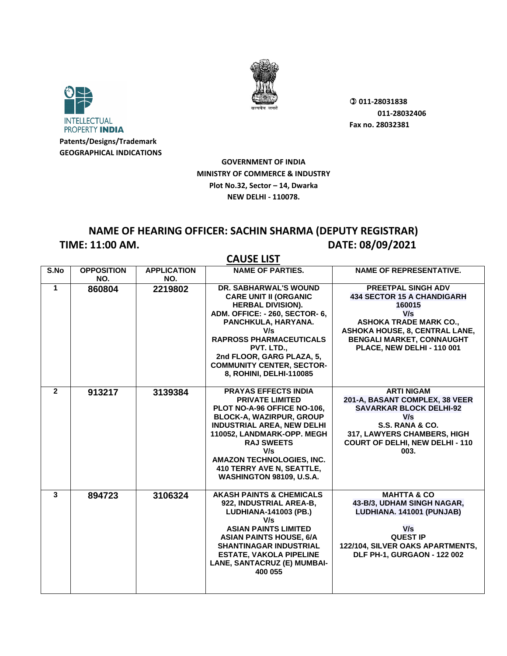



**GOVERNMENT OF INDIA MINISTRY OF COMMERCE & INDUSTRY Plot No.32, Sector – 14, Dwarka NEW DELHI - 110078.**

## **NAME OF HEARING OFFICER: SACHIN SHARMA (DEPUTY REGISTRAR) TIME: 11:00 AM. DATE: 08/09/2021**

| $\overline{\mathsf{S}.\mathsf{No}}$ | <b>OPPOSITION</b> | <b>APPLICATION</b> | <b>NAME OF PARTIES.</b>                                                                                                                                                                                                                                                                                      | <b>NAME OF REPRESENTATIVE.</b>                                                                                                                                                                                |
|-------------------------------------|-------------------|--------------------|--------------------------------------------------------------------------------------------------------------------------------------------------------------------------------------------------------------------------------------------------------------------------------------------------------------|---------------------------------------------------------------------------------------------------------------------------------------------------------------------------------------------------------------|
|                                     | NO.               | NO.                |                                                                                                                                                                                                                                                                                                              |                                                                                                                                                                                                               |
| $\mathbf{1}$                        | 860804            | 2219802            | DR. SABHARWAL'S WOUND<br><b>CARE UNIT II (ORGANIC</b><br><b>HERBAL DIVISION).</b><br>ADM. OFFICE: - 260, SECTOR- 6,<br>PANCHKULA, HARYANA.<br>V/s<br><b>RAPROSS PHARMACEUTICALS</b><br>PVT. LTD.,<br>2nd FLOOR, GARG PLAZA, 5,<br><b>COMMUNITY CENTER, SECTOR-</b><br>8, ROHINI, DELHI-110085                | PREETPAL SINGH ADV<br><b>434 SECTOR 15 A CHANDIGARH</b><br>160015<br>V/s<br><b>ASHOKA TRADE MARK CO.,</b><br>ASHOKA HOUSE, 8, CENTRAL LANE,<br><b>BENGALI MARKET, CONNAUGHT</b><br>PLACE, NEW DELHI - 110 001 |
| $\overline{2}$                      | 913217            | 3139384            | <b>PRAYAS EFFECTS INDIA</b><br><b>PRIVATE LIMITED</b><br>PLOT NO-A-96 OFFICE NO-106,<br><b>BLOCK-A, WAZIRPUR, GROUP</b><br><b>INDUSTRIAL AREA, NEW DELHI</b><br>110052, LANDMARK-OPP. MEGH<br><b>RAJ SWEETS</b><br>V/s<br>AMAZON TECHNOLOGIES, INC.<br>410 TERRY AVE N, SEATTLE,<br>WASHINGTON 98109, U.S.A. | <b>ARTI NIGAM</b><br>201-A, BASANT COMPLEX, 38 VEER<br><b>SAVARKAR BLOCK DELHI-92</b><br>V/s<br>S.S. RANA & CO.<br>317, LAWYERS CHAMBERS, HIGH<br><b>COURT OF DELHI, NEW DELHI - 110</b><br>003.              |
| $\mathbf{3}$                        | 894723            | 3106324            | <b>AKASH PAINTS &amp; CHEMICALS</b><br>922, INDUSTRIAL AREA-B,<br>LUDHIANA-141003 (PB.)<br>V/s<br><b>ASIAN PAINTS LIMITED</b><br><b>ASIAN PAINTS HOUSE, 6/A</b><br><b>SHANTINAGAR INDUSTRIAL</b><br><b>ESTATE, VAKOLA PIPELINE</b><br>LANE, SANTACRUZ (E) MUMBAI-<br>400 055                                 | <b>MAHTTA &amp; CO</b><br>43-B/3, UDHAM SINGH NAGAR,<br>LUDHIANA. 141001 (PUNJAB)<br>V/s<br><b>QUEST IP</b><br>122/104, SILVER OAKS APARTMENTS,<br>DLF PH-1, GURGAON - 122 002                                |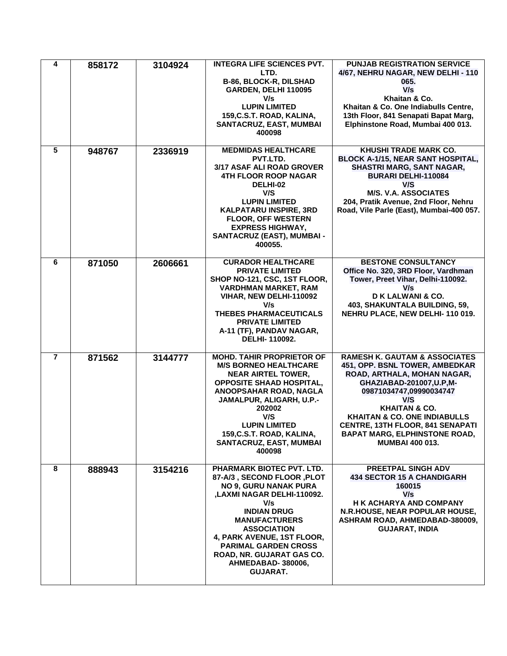| 4              | 858172 | 3104924 | <b>INTEGRA LIFE SCIENCES PVT.</b><br>LTD.<br>B-86, BLOCK-R, DILSHAD<br>GARDEN, DELHI 110095<br>V/s<br><b>LUPIN LIMITED</b><br>159, C.S.T. ROAD, KALINA,<br>SANTACRUZ, EAST, MUMBAI<br>400098                                                                                                                                              | <b>PUNJAB REGISTRATION SERVICE</b><br>4/67, NEHRU NAGAR, NEW DELHI - 110<br>065.<br>V/s<br>Khaitan & Co.<br>Khaitan & Co. One Indiabulls Centre,<br>13th Floor, 841 Senapati Bapat Marg,<br>Elphinstone Road, Mumbai 400 013.                                                                                                                                |
|----------------|--------|---------|-------------------------------------------------------------------------------------------------------------------------------------------------------------------------------------------------------------------------------------------------------------------------------------------------------------------------------------------|--------------------------------------------------------------------------------------------------------------------------------------------------------------------------------------------------------------------------------------------------------------------------------------------------------------------------------------------------------------|
| $5\phantom{1}$ | 948767 | 2336919 | <b>MEDMIDAS HEALTHCARE</b><br>PVT.LTD.<br>3/17 ASAF ALI ROAD GROVER<br><b>4TH FLOOR ROOP NAGAR</b><br>DELHI-02<br>V/S<br><b>LUPIN LIMITED</b><br><b>KALPATARU INSPIRE, 3RD</b><br><b>FLOOR, OFF WESTERN</b><br><b>EXPRESS HIGHWAY,</b><br>SANTACRUZ (EAST), MUMBAI -<br>400055.                                                           | KHUSHI TRADE MARK CO.<br><b>BLOCK A-1/15, NEAR SANT HOSPITAL,</b><br>SHASTRI MARG, SANT NAGAR,<br>BURARI DELHI-110084<br>V/S<br><b>M/S. V.A. ASSOCIATES</b><br>204, Pratik Avenue, 2nd Floor, Nehru<br>Road, Vile Parle (East), Mumbai-400 057.                                                                                                              |
| 6              | 871050 | 2606661 | <b>CURADOR HEALTHCARE</b><br><b>PRIVATE LIMITED</b><br>SHOP NO-121, CSC, 1ST FLOOR,<br><b>VARDHMAN MARKET, RAM</b><br>VIHAR, NEW DELHI-110092<br>V/s<br><b>THEBES PHARMACEUTICALS</b><br><b>PRIVATE LIMITED</b><br>A-11 (TF), PANDAV NAGAR,<br>DELHI-110092.                                                                              | <b>BESTONE CONSULTANCY</b><br>Office No. 320, 3RD Floor, Vardhman<br>Tower, Preet Vihar, Delhi-110092.<br>V/s<br>D K LALWANI & CO.<br>403, SHAKUNTALA BUILDING, 59,<br>NEHRU PLACE, NEW DELHI-110 019.                                                                                                                                                       |
| $\overline{7}$ | 871562 | 3144777 | <b>MOHD. TAHIR PROPRIETOR OF</b><br><b>M/S BORNEO HEALTHCARE</b><br><b>NEAR AIRTEL TOWER,</b><br><b>OPPOSITE SHAAD HOSPITAL,</b><br>ANOOPSAHAR ROAD, NAGLA<br>JAMALPUR, ALIGARH, U.P.-<br>202002<br>V/S<br><b>LUPIN LIMITED</b><br>159, C.S.T. ROAD, KALINA,<br>SANTACRUZ, EAST, MUMBAI<br>400098                                         | <b>RAMESH K. GAUTAM &amp; ASSOCIATES</b><br>451, OPP. BSNL TOWER, AMBEDKAR<br>ROAD, ARTHALA, MOHAN NAGAR,<br>GHAZIABAD-201007, U.P, M-<br>09871034747,09990034747<br>V/S<br><b>KHAITAN &amp; CO.</b><br><b>KHAITAN &amp; CO. ONE INDIABULLS</b><br><b>CENTRE, 13TH FLOOR, 841 SENAPATI</b><br><b>BAPAT MARG, ELPHINSTONE ROAD,</b><br><b>MUMBAI 400 013.</b> |
| 8              | 888943 | 3154216 | PHARMARK BIOTEC PVT. LTD.<br>87-A/3, SECOND FLOOR, PLOT<br><b>NO 9, GURU NANAK PURA</b><br>,LAXMI NAGAR DELHI-110092.<br>V/s<br><b>INDIAN DRUG</b><br><b>MANUFACTURERS</b><br><b>ASSOCIATION</b><br><b>4. PARK AVENUE, 1ST FLOOR.</b><br><b>PARIMAL GARDEN CROSS</b><br>ROAD, NR. GUJARAT GAS CO.<br>AHMEDABAD-380006,<br><b>GUJARAT.</b> | PREETPAL SINGH ADV<br><b>434 SECTOR 15 A CHANDIGARH</b><br>160015<br>V/s<br>H K ACHARYA AND COMPANY<br>N.R.HOUSE, NEAR POPULAR HOUSE,<br>ASHRAM ROAD, AHMEDABAD-380009,<br><b>GUJARAT, INDIA</b>                                                                                                                                                             |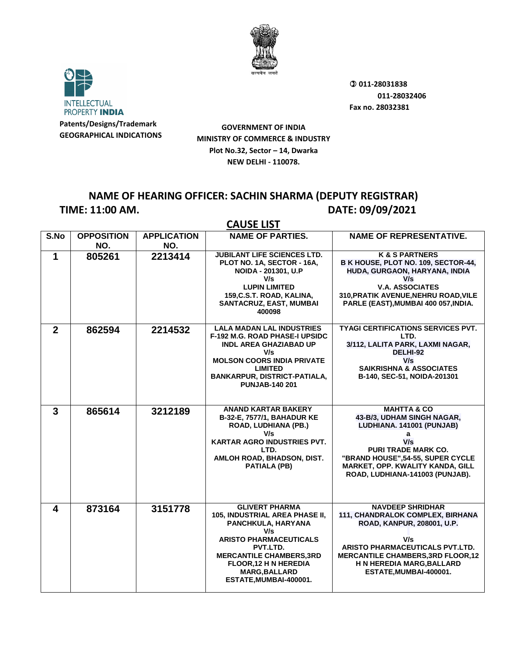



**GOVERNMENT OF INDIA MINISTRY OF COMMERCE & INDUSTRY Plot No.32, Sector – 14, Dwarka NEW DELHI - 110078.**

### **NAME OF HEARING OFFICER: SACHIN SHARMA (DEPUTY REGISTRAR) TIME: 11:00 AM. DATE: 09/09/2021**

|                | <b>CAUSE LIST</b>        |                           |                                                                                                                                                                                                                                                        |                                                                                                                                                                                                                                                |  |  |
|----------------|--------------------------|---------------------------|--------------------------------------------------------------------------------------------------------------------------------------------------------------------------------------------------------------------------------------------------------|------------------------------------------------------------------------------------------------------------------------------------------------------------------------------------------------------------------------------------------------|--|--|
| S.No           | <b>OPPOSITION</b><br>NO. | <b>APPLICATION</b><br>NO. | <b>NAME OF PARTIES.</b>                                                                                                                                                                                                                                | <b>NAME OF REPRESENTATIVE.</b>                                                                                                                                                                                                                 |  |  |
| 1              | 805261                   | 2213414                   | <b>JUBILANT LIFE SCIENCES LTD.</b><br>PLOT NO. 1A, SECTOR - 16A,<br>NOIDA - 201301, U.P<br>V/s<br><b>LUPIN LIMITED</b><br>159, C.S.T. ROAD, KALINA,<br>SANTACRUZ, EAST, MUMBAI<br>400098                                                               | <b>K &amp; S PARTNERS</b><br>B K HOUSE, PLOT NO. 109, SECTOR-44,<br>HUDA, GURGAON, HARYANA, INDIA<br>V/s<br><b>V.A. ASSOCIATES</b><br>310, PRATIK AVENUE, NEHRU ROAD, VILE<br>PARLE (EAST), MUMBAI 400 057, INDIA.                             |  |  |
| $\overline{2}$ | 862594                   | 2214532                   | <b>LALA MADAN LAL INDUSTRIES</b><br><b>F-192 M.G. ROAD PHASE-I UPSIDC</b><br><b>INDL AREA GHAZIABAD UP</b><br>V/s<br><b>MOLSON COORS INDIA PRIVATE</b><br><b>LIMITED</b><br><b>BANKARPUR, DISTRICT-PATIALA,</b><br><b>PUNJAB-140 201</b>               | <b>TYAGI CERTIFICATIONS SERVICES PVT.</b><br>LTD.<br>3/112, LALITA PARK, LAXMI NAGAR,<br>DELHI-92<br>V/s<br><b>SAIKRISHNA &amp; ASSOCIATES</b><br>B-140, SEC-51, NOIDA-201301                                                                  |  |  |
| 3              | 865614                   | 3212189                   | <b>ANAND KARTAR BAKERY</b><br>B-32-E, 7577/1, BAHADUR KE<br>ROAD, LUDHIANA (PB.)<br>V/s<br><b>KARTAR AGRO INDUSTRIES PVT.</b><br>LTD.<br>AMLOH ROAD, BHADSON, DIST.<br><b>PATIALA (PB)</b>                                                             | <b>MAHTTA &amp; CO</b><br>43-B/3, UDHAM SINGH NAGAR,<br>LUDHIANA. 141001 (PUNJAB)<br>a<br>V/s<br><b>PURI TRADE MARK CO.</b><br>"BRAND HOUSE", 54-55, SUPER CYCLE<br><b>MARKET, OPP. KWALITY KANDA, GILL</b><br>ROAD, LUDHIANA-141003 (PUNJAB). |  |  |
| 4              | 873164                   | 3151778                   | <b>GLIVERT PHARMA</b><br>105, INDUSTRIAL AREA PHASE II,<br>PANCHKULA, HARYANA<br>V/s<br><b>ARISTO PHARMACEUTICALS</b><br>PVT.LTD.<br><b>MERCANTILE CHAMBERS, 3RD</b><br><b>FLOOR, 12 H N HEREDIA</b><br><b>MARG, BALLARD</b><br>ESTATE, MUMBAI-400001. | <b>NAVDEEP SHRIDHAR</b><br>111, CHANDRALOK COMPLEX, BIRHANA<br>ROAD, KANPUR, 208001, U.P.<br>V/s<br>ARISTO PHARMACEUTICALS PVT.LTD.<br><b>MERCANTILE CHAMBERS, 3RD FLOOR, 12</b><br>H N HEREDIA MARG, BALLARD<br>ESTATE, MUMBAI-400001.        |  |  |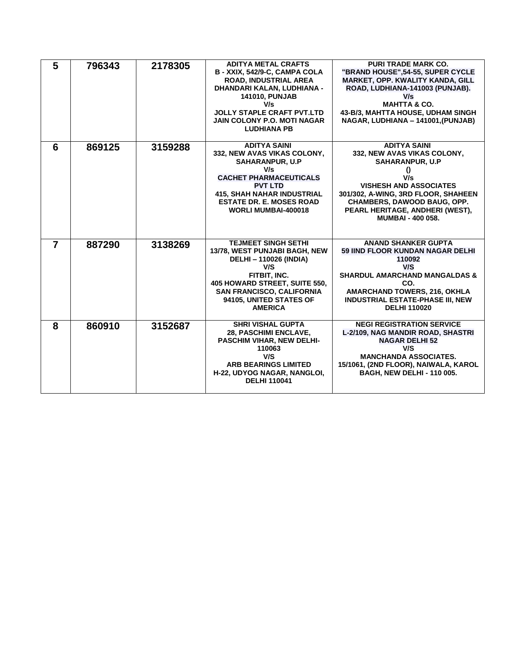| 5              | 796343 | 2178305 | <b>ADITYA METAL CRAFTS</b><br>B - XXIX, 542/9-C, CAMPA COLA<br><b>ROAD. INDUSTRIAL AREA</b><br>DHANDARI KALAN, LUDHIANA -<br><b>141010, PUNJAB</b><br>V/s<br><b>JOLLY STAPLE CRAFT PVT.LTD</b><br><b>JAIN COLONY P.O. MOTI NAGAR</b><br><b>LUDHIANA PB</b> | <b>PURI TRADE MARK CO.</b><br>"BRAND HOUSE", 54-55, SUPER CYCLE<br><b>MARKET, OPP. KWALITY KANDA, GILL</b><br>ROAD, LUDHIANA-141003 (PUNJAB).<br>V/s<br><b>MAHTTA &amp; CO.</b><br>43-B/3, MAHTTA HOUSE, UDHAM SINGH<br>NAGAR, LUDHIANA - 141001, (PUNJAB)                 |
|----------------|--------|---------|------------------------------------------------------------------------------------------------------------------------------------------------------------------------------------------------------------------------------------------------------------|----------------------------------------------------------------------------------------------------------------------------------------------------------------------------------------------------------------------------------------------------------------------------|
| 6              | 869125 | 3159288 | <b>ADITYA SAINI</b><br>332, NEW AVAS VIKAS COLONY,<br><b>SAHARANPUR, U.P</b><br>V/s<br><b>CACHET PHARMACEUTICALS</b><br><b>PVT LTD</b><br><b>415, SHAH NAHAR INDUSTRIAL</b><br><b>ESTATE DR. E. MOSES ROAD</b><br><b>WORLI MUMBAI-400018</b>               | <b>ADITYA SAINI</b><br>332, NEW AVAS VIKAS COLONY,<br><b>SAHARANPUR, U.P</b><br>$_{0}$<br>V/s<br><b>VISHESH AND ASSOCIATES</b><br>301/302, A-WING, 3RD FLOOR, SHAHEEN<br><b>CHAMBERS, DAWOOD BAUG, OPP.</b><br>PEARL HERITAGE, ANDHERI (WEST),<br><b>MUMBAI - 400 058.</b> |
| $\overline{7}$ | 887290 | 3138269 | <b>TEJMEET SINGH SETHI</b><br>13/78, WEST PUNJABI BAGH, NEW<br><b>DELHI-110026 (INDIA)</b><br>V/S<br>FITBIT, INC.<br>405 HOWARD STREET, SUITE 550,<br><b>SAN FRANCISCO, CALIFORNIA</b><br>94105, UNITED STATES OF<br><b>AMERICA</b>                        | <b>ANAND SHANKER GUPTA</b><br><b>59 IIND FLOOR KUNDAN NAGAR DELHI</b><br>110092<br>V/S<br><b>SHARDUL AMARCHAND MANGALDAS &amp;</b><br>CO.<br><b>AMARCHAND TOWERS, 216, OKHLA</b><br><b>INDUSTRIAL ESTATE-PHASE III, NEW</b><br><b>DELHI 110020</b>                         |
| 8              | 860910 | 3152687 | <b>SHRI VISHAL GUPTA</b><br><b>28. PASCHIMI ENCLAVE.</b><br>PASCHIM VIHAR, NEW DELHI-<br>110063<br>V/S<br><b>ARB BEARINGS LIMITED</b><br>H-22, UDYOG NAGAR, NANGLOI,<br><b>DELHI 110041</b>                                                                | <b>NEGI REGISTRATION SERVICE</b><br>L-2/109, NAG MANDIR ROAD, SHASTRI<br><b>NAGAR DELHI 52</b><br>V/S<br><b>MANCHANDA ASSOCIATES.</b><br>15/1061, (2ND FLOOR), NAIWALA, KAROL<br><b>BAGH, NEW DELHI - 110 005.</b>                                                         |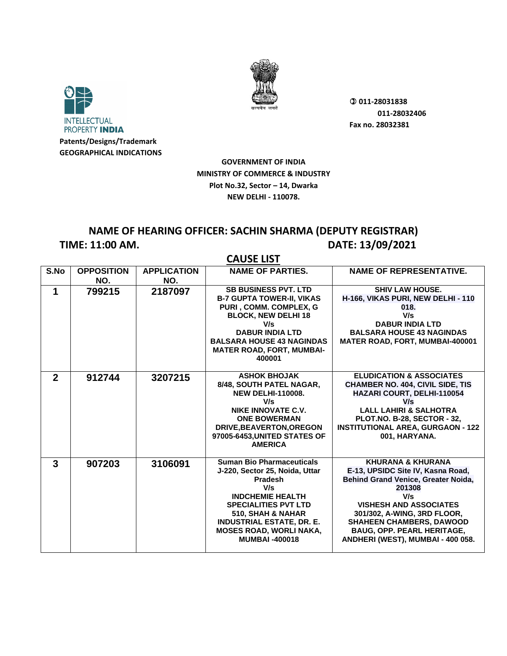



**GOVERNMENT OF INDIA MINISTRY OF COMMERCE & INDUSTRY Plot No.32, Sector – 14, Dwarka NEW DELHI - 110078.**

## **NAME OF HEARING OFFICER: SACHIN SHARMA (DEPUTY REGISTRAR) TIME: 11:00 AM. DATE: 13/09/2021**

|              | <b>CAUSE LIST</b>        |                           |                                                                                                                                                                                                                                                                   |                                                                                                                                                                                                                                                                                                        |  |
|--------------|--------------------------|---------------------------|-------------------------------------------------------------------------------------------------------------------------------------------------------------------------------------------------------------------------------------------------------------------|--------------------------------------------------------------------------------------------------------------------------------------------------------------------------------------------------------------------------------------------------------------------------------------------------------|--|
| S.No         | <b>OPPOSITION</b><br>NO. | <b>APPLICATION</b><br>NO. | <b>NAME OF PARTIES.</b>                                                                                                                                                                                                                                           | <b>NAME OF REPRESENTATIVE.</b>                                                                                                                                                                                                                                                                         |  |
| 1            | 799215                   | 2187097                   | <b>SB BUSINESS PVT. LTD</b><br><b>B-7 GUPTA TOWER-II, VIKAS</b><br>PURI, COMM. COMPLEX, G<br><b>BLOCK, NEW DELHI 18</b><br>V/s<br><b>DABUR INDIA LTD</b><br><b>BALSARA HOUSE 43 NAGINDAS</b><br><b>MATER ROAD, FORT, MUMBAI-</b><br>400001                        | <b>SHIV LAW HOUSE.</b><br>H-166, VIKAS PURI, NEW DELHI - 110<br>018.<br>V/s<br><b>DABUR INDIA LTD</b><br><b>BALSARA HOUSE 43 NAGINDAS</b><br><b>MATER ROAD, FORT, MUMBAI-400001</b>                                                                                                                    |  |
| $\mathbf{2}$ | 912744                   | 3207215                   | <b>ASHOK BHOJAK</b><br>8/48, SOUTH PATEL NAGAR,<br><b>NEW DELHI-110008.</b><br>V/s<br><b>NIKE INNOVATE C.V.</b><br><b>ONE BOWERMAN</b><br>DRIVE, BEAVERTON, OREGON<br>97005-6453, UNITED STATES OF<br><b>AMERICA</b>                                              | <b>ELUDICATION &amp; ASSOCIATES</b><br><b>CHAMBER NO. 404, CIVIL SIDE, TIS</b><br>HAZARI COURT, DELHI-110054<br>V/s<br><b>LALL LAHIRI &amp; SALHOTRA</b><br><b>PLOT.NO. B-28, SECTOR - 32,</b><br><b>INSTITUTIONAL AREA, GURGAON - 122</b><br>001, HARYANA.                                            |  |
| $\mathbf{3}$ | 907203                   | 3106091                   | <b>Suman Bio Pharmaceuticals</b><br>J-220, Sector 25, Noida, Uttar<br>Pradesh<br>V/s<br><b>INDCHEMIE HEALTH</b><br><b>SPECIALITIES PVT LTD</b><br>510. SHAH & NAHAR<br><b>INDUSTRIAL ESTATE, DR. E.</b><br><b>MOSES ROAD, WORLI NAKA,</b><br><b>MUMBAI-400018</b> | <b>KHURANA &amp; KHURANA</b><br>E-13, UPSIDC Site IV, Kasna Road,<br>Behind Grand Venice, Greater Noida,<br>201308<br>V/s<br><b>VISHESH AND ASSOCIATES</b><br>301/302, A-WING, 3RD FLOOR,<br><b>SHAHEEN CHAMBERS, DAWOOD</b><br><b>BAUG, OPP. PEARL HERITAGE,</b><br>ANDHERI (WEST), MUMBAI - 400 058. |  |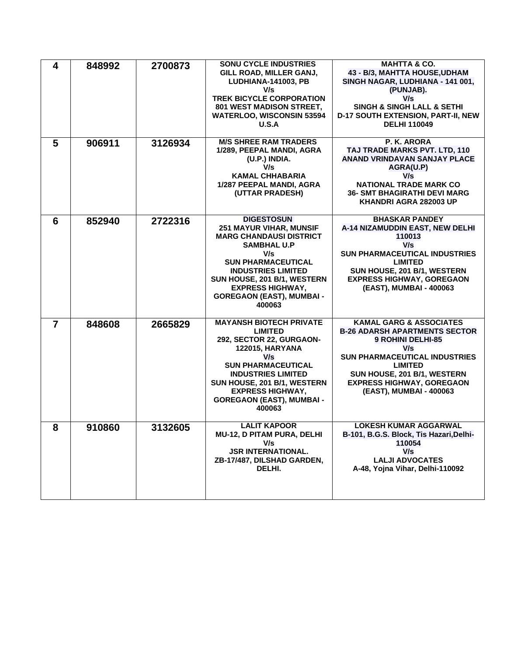| 4              | 848992 | 2700873 | <b>SONU CYCLE INDUSTRIES</b><br>GILL ROAD, MILLER GANJ,<br><b>LUDHIANA-141003, PB</b><br>V/s<br><b>TREK BICYCLE CORPORATION</b><br>801 WEST MADISON STREET,<br><b>WATERLOO, WISCONSIN 53594</b><br>U.S.A                                                                             | <b>MAHTTA &amp; CO.</b><br>43 - B/3, MAHTTA HOUSE, UDHAM<br>SINGH NAGAR, LUDHIANA - 141 001,<br>(PUNJAB).<br>V/s<br><b>SINGH &amp; SINGH LALL &amp; SETHI</b><br>D-17 SOUTH EXTENSION, PART-II, NEW<br><b>DELHI 110049</b>                                     |
|----------------|--------|---------|--------------------------------------------------------------------------------------------------------------------------------------------------------------------------------------------------------------------------------------------------------------------------------------|----------------------------------------------------------------------------------------------------------------------------------------------------------------------------------------------------------------------------------------------------------------|
| 5              | 906911 | 3126934 | <b>M/S SHREE RAM TRADERS</b><br>1/289, PEEPAL MANDI, AGRA<br>(U.P.) INDIA.<br>V/s<br><b>KAMAL CHHABARIA</b><br>1/287 PEEPAL MANDI, AGRA<br>(UTTAR PRADESH)                                                                                                                           | P. K. ARORA<br>TAJ TRADE MARKS PVT. LTD, 110<br>ANAND VRINDAVAN SANJAY PLACE<br>AGRA(U.P)<br>V/s<br><b>NATIONAL TRADE MARK CO</b><br><b>36- SMT BHAGIRATHI DEVI MARG</b><br>KHANDRI AGRA 282003 UP                                                             |
| 6              | 852940 | 2722316 | <b>DIGESTOSUN</b><br><b>251 MAYUR VIHAR, MUNSIF</b><br><b>MARG CHANDAUSI DISTRICT</b><br><b>SAMBHAL U.P</b><br>V/s<br><b>SUN PHARMACEUTICAL</b><br><b>INDUSTRIES LIMITED</b><br>SUN HOUSE, 201 B/1, WESTERN<br><b>EXPRESS HIGHWAY,</b><br><b>GOREGAON (EAST), MUMBAI -</b><br>400063 | <b>BHASKAR PANDEY</b><br>A-14 NIZAMUDDIN EAST, NEW DELHI<br>110013<br>V/s<br><b>SUN PHARMACEUTICAL INDUSTRIES</b><br><b>LIMITED</b><br>SUN HOUSE, 201 B/1, WESTERN<br><b>EXPRESS HIGHWAY, GOREGAON</b><br>(EAST), MUMBAI - 400063                              |
| $\overline{7}$ | 848608 | 2665829 | <b>MAYANSH BIOTECH PRIVATE</b><br><b>LIMITED</b><br>292, SECTOR 22, GURGAON-<br><b>122015, HARYANA</b><br>V/s<br><b>SUN PHARMACEUTICAL</b><br><b>INDUSTRIES LIMITED</b><br>SUN HOUSE, 201 B/1, WESTERN<br><b>EXPRESS HIGHWAY,</b><br><b>GOREGAON (EAST), MUMBAI -</b><br>400063      | <b>KAMAL GARG &amp; ASSOCIATES</b><br><b>B-26 ADARSH APARTMENTS SECTOR</b><br>9 ROHINI DELHI-85<br>V/s<br><b>SUN PHARMACEUTICAL INDUSTRIES</b><br><b>LIMITED</b><br>SUN HOUSE, 201 B/1, WESTERN<br><b>EXPRESS HIGHWAY, GOREGAON</b><br>(EAST), MUMBAI - 400063 |
| 8              | 910860 | 3132605 | <b>LALIT KAPOOR</b><br>MU-12, D PITAM PURA, DELHI<br>V/s<br><b>JSR INTERNATIONAL.</b><br>ZB-17/487, DILSHAD GARDEN,<br>DELHI.                                                                                                                                                        | <b>LOKESH KUMAR AGGARWAL</b><br>B-101, B.G.S. Block, Tis Hazari, Delhi-<br>110054<br>V/s<br><b>LALJI ADVOCATES</b><br>A-48, Yojna Vihar, Delhi-110092                                                                                                          |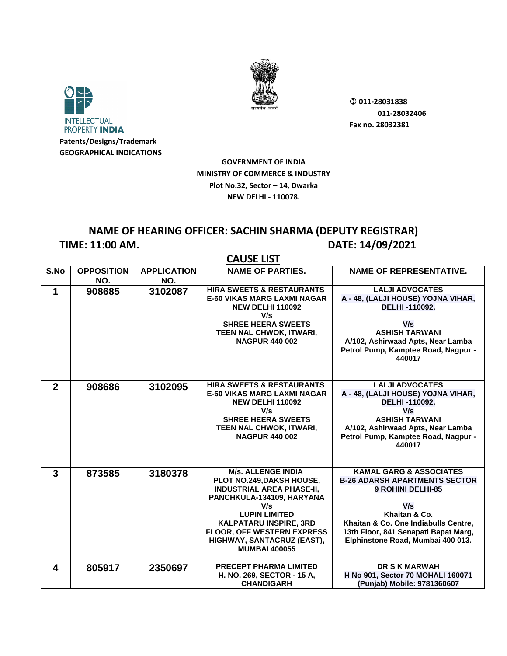



**GOVERNMENT OF INDIA MINISTRY OF COMMERCE & INDUSTRY Plot No.32, Sector – 14, Dwarka NEW DELHI - 110078.**

# **NAME OF HEARING OFFICER: SACHIN SHARMA (DEPUTY REGISTRAR) TIME: 11:00 AM. DATE: 14/09/2021**

|                |                          |                           | <b>CAUSE LIST</b>                                                                                                                                                                                                                                                                  |                                                                                                                                                                                                                                                     |
|----------------|--------------------------|---------------------------|------------------------------------------------------------------------------------------------------------------------------------------------------------------------------------------------------------------------------------------------------------------------------------|-----------------------------------------------------------------------------------------------------------------------------------------------------------------------------------------------------------------------------------------------------|
| S.No           | <b>OPPOSITION</b><br>NO. | <b>APPLICATION</b><br>NO. | <b>NAME OF PARTIES.</b>                                                                                                                                                                                                                                                            | <b>NAME OF REPRESENTATIVE.</b>                                                                                                                                                                                                                      |
| 1              | 908685                   | 3102087                   | <b>HIRA SWEETS &amp; RESTAURANTS</b><br><b>E-60 VIKAS MARG LAXMI NAGAR</b><br><b>NEW DELHI 110092</b><br>V/s<br><b>SHREE HEERA SWEETS</b><br>TEEN NAL CHWOK, ITWARI,<br><b>NAGPUR 440 002</b>                                                                                      | <b>LALJI ADVOCATES</b><br>A - 48, (LALJI HOUSE) YOJNA VIHAR,<br>DELHI-110092.<br>V/s<br><b>ASHISH TARWANI</b><br>A/102, Ashirwaad Apts, Near Lamba<br>Petrol Pump, Kamptee Road, Nagpur -<br>440017                                                 |
| $\overline{2}$ | 908686                   | 3102095                   | <b>HIRA SWEETS &amp; RESTAURANTS</b><br><b>E-60 VIKAS MARG LAXMI NAGAR</b><br><b>NEW DELHI 110092</b><br>V/s<br><b>SHREE HEERA SWEETS</b><br>TEEN NAL CHWOK, ITWARI,<br><b>NAGPUR 440 002</b>                                                                                      | <b>LALJI ADVOCATES</b><br>A - 48, (LALJI HOUSE) YOJNA VIHAR,<br>DELHI-110092.<br>V/s<br><b>ASHISH TARWANI</b><br>A/102, Ashirwaad Apts, Near Lamba<br>Petrol Pump, Kamptee Road, Nagpur -<br>440017                                                 |
| $\mathbf{3}$   | 873585                   | 3180378                   | <b>M/s. ALLENGE INDIA</b><br>PLOT NO.249, DAKSH HOUSE,<br><b>INDUSTRIAL AREA PHASE-II,</b><br>PANCHKULA-134109, HARYANA<br>V/s<br><b>LUPIN LIMITED</b><br><b>KALPATARU INSPIRE, 3RD</b><br><b>FLOOR, OFF WESTERN EXPRESS</b><br>HIGHWAY, SANTACRUZ (EAST),<br><b>MUMBAI 400055</b> | <b>KAMAL GARG &amp; ASSOCIATES</b><br><b>B-26 ADARSH APARTMENTS SECTOR</b><br><b>9 ROHINI DELHI-85</b><br>V/s<br>Khaitan & Co.<br>Khaitan & Co. One Indiabulls Centre.<br>13th Floor, 841 Senapati Bapat Marg,<br>Elphinstone Road, Mumbai 400 013. |
| 4              | 805917                   | 2350697                   | PRECEPT PHARMA LIMITED<br>H. NO. 269, SECTOR - 15 A,<br><b>CHANDIGARH</b>                                                                                                                                                                                                          | <b>DR S K MARWAH</b><br>H No 901, Sector 70 MOHALI 160071<br>(Punjab) Mobile: 9781360607                                                                                                                                                            |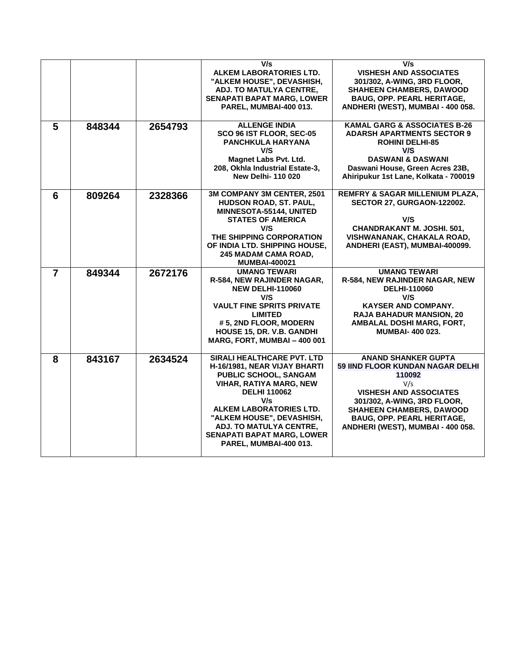|                |        |         | V/s<br>ALKEM LABORATORIES LTD.<br>"ALKEM HOUSE", DEVASHISH,<br>ADJ. TO MATULYA CENTRE,<br><b>SENAPATI BAPAT MARG, LOWER</b><br>PAREL, MUMBAI-400 013.                                                                                                                                                 | V/s<br><b>VISHESH AND ASSOCIATES</b><br>301/302, A-WING, 3RD FLOOR,<br><b>SHAHEEN CHAMBERS, DAWOOD</b><br><b>BAUG, OPP. PEARL HERITAGE,</b><br>ANDHERI (WEST), MUMBAI - 400 058.                                                                             |
|----------------|--------|---------|-------------------------------------------------------------------------------------------------------------------------------------------------------------------------------------------------------------------------------------------------------------------------------------------------------|--------------------------------------------------------------------------------------------------------------------------------------------------------------------------------------------------------------------------------------------------------------|
| 5              | 848344 | 2654793 | <b>ALLENGE INDIA</b><br>SCO 96 IST FLOOR, SEC-05<br>PANCHKULA HARYANA<br>V/S<br><b>Magnet Labs Pvt. Ltd.</b><br>208, Okhla Industrial Estate-3,<br><b>New Delhi-110020</b>                                                                                                                            | <b>KAMAL GARG &amp; ASSOCIATES B-26</b><br><b>ADARSH APARTMENTS SECTOR 9</b><br><b>ROHINI DELHI-85</b><br>V/S<br><b>DASWANI &amp; DASWANI</b><br>Daswani House, Green Acres 23B,<br>Ahiripukur 1st Lane, Kolkata - 700019                                    |
| 6              | 809264 | 2328366 | 3M COMPANY 3M CENTER, 2501<br>HUDSON ROAD, ST. PAUL,<br>MINNESOTA-55144, UNITED<br><b>STATES OF AMERICA</b><br>V/S<br>THE SHIPPING CORPORATION<br>OF INDIA LTD. SHIPPING HOUSE,<br><b>245 MADAM CAMA ROAD.</b><br><b>MUMBAI-400021</b>                                                                | <b>REMFRY &amp; SAGAR MILLENIUM PLAZA,</b><br>SECTOR 27, GURGAON-122002.<br>V/S<br>CHANDRAKANT M. JOSHI. 501,<br>VISHWANANAK, CHAKALA ROAD,<br>ANDHERI (EAST), MUMBAI-400099.                                                                                |
| $\overline{7}$ | 849344 | 2672176 | <b>UMANG TEWARI</b><br><b>R-584, NEW RAJINDER NAGAR,</b><br><b>NEW DELHI-110060</b><br>V/S<br><b>VAULT FINE SPRITS PRIVATE</b><br><b>LIMITED</b><br>#5, 2ND FLOOR, MODERN<br>HOUSE 15, DR. V.B. GANDHI<br>MARG, FORT, MUMBAI - 400 001                                                                | <b>UMANG TEWARI</b><br>R-584, NEW RAJINDER NAGAR, NEW<br><b>DELHI-110060</b><br>V/S<br><b>KAYSER AND COMPANY.</b><br><b>RAJA BAHADUR MANSION, 20</b><br>AMBALAL DOSHI MARG, FORT,<br><b>MUMBAI-400023.</b>                                                   |
| 8              | 843167 | 2634524 | SIRALI HEALTHCARE PVT. LTD<br>H-16/1981, NEAR VIJAY BHARTI<br>PUBLIC SCHOOL, SANGAM<br><b>VIHAR, RATIYA MARG, NEW</b><br><b>DELHI 110062</b><br>V/s<br>ALKEM LABORATORIES LTD.<br>"ALKEM HOUSE", DEVASHISH,<br>ADJ. TO MATULYA CENTRE,<br><b>SENAPATI BAPAT MARG, LOWER</b><br>PAREL, MUMBAI-400 013. | <b>ANAND SHANKER GUPTA</b><br>59 IIND FLOOR KUNDAN NAGAR DELHI<br>110092<br>V/s<br><b>VISHESH AND ASSOCIATES</b><br>301/302, A-WING, 3RD FLOOR,<br><b>SHAHEEN CHAMBERS, DAWOOD</b><br><b>BAUG, OPP. PEARL HERITAGE,</b><br>ANDHERI (WEST), MUMBAI - 400 058. |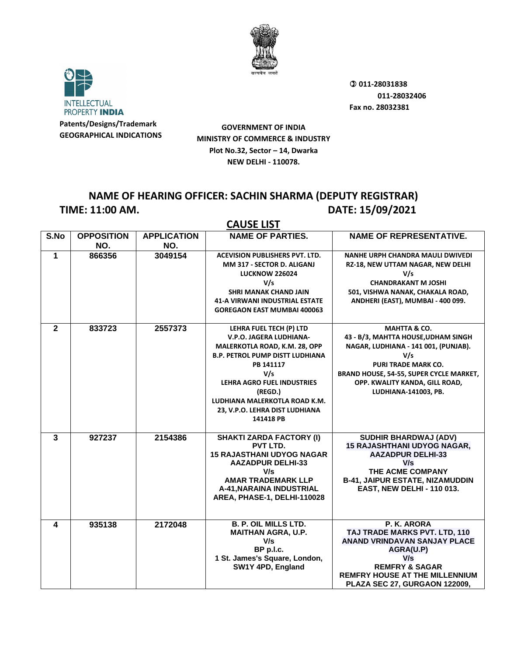



**GOVERNMENT OF INDIA MINISTRY OF COMMERCE & INDUSTRY Plot No.32, Sector – 14, Dwarka NEW DELHI - 110078.**

### **NAME OF HEARING OFFICER: SACHIN SHARMA (DEPUTY REGISTRAR) TIME: 11:00 AM. DATE: 15/09/2021**

|              | <b>CAUSE LIST</b>        |                           |                                                                                                                                                                                                                                                                            |                                                                                                                                                                                                                                                  |  |
|--------------|--------------------------|---------------------------|----------------------------------------------------------------------------------------------------------------------------------------------------------------------------------------------------------------------------------------------------------------------------|--------------------------------------------------------------------------------------------------------------------------------------------------------------------------------------------------------------------------------------------------|--|
| S.No         | <b>OPPOSITION</b><br>NO. | <b>APPLICATION</b><br>NO. | <b>NAME OF PARTIES.</b>                                                                                                                                                                                                                                                    | <b>NAME OF REPRESENTATIVE.</b>                                                                                                                                                                                                                   |  |
| 1            | 866356                   | 3049154                   | <b>ACEVISION PUBLISHERS PVT. LTD.</b><br>MM 317 - SECTOR D. ALIGANJ<br><b>LUCKNOW 226024</b><br>V/s<br><b>SHRI MANAK CHAND JAIN</b><br><b>41-A VIRWANI INDUSTRIAL ESTATE</b><br><b>GOREGAON EAST MUMBAI 400063</b>                                                         | <b>NANHE URPH CHANDRA MAULI DWIVEDI</b><br>RZ-18, NEW UTTAM NAGAR, NEW DELHI<br>V/s<br><b>CHANDRAKANT M JOSHI</b><br>501, VISHWA NANAK, CHAKALA ROAD,<br>ANDHERI (EAST), MUMBAI - 400 099.                                                       |  |
| $\mathbf{2}$ | 833723                   | 2557373                   | LEHRA FUEL TECH (P) LTD<br>V.P.O. JAGERA LUDHIANA-<br>MALERKOTLA ROAD, K.M. 28, OPP<br><b>B.P. PETROL PUMP DISTT LUDHIANA</b><br>PB 141117<br>V/s<br>LEHRA AGRO FUEL INDUSTRIES<br>(REGD.)<br>LUDHIANA MALERKOTLA ROAD K.M.<br>23, V.P.O. LEHRA DIST LUDHIANA<br>141418 PB | <b>MAHTTA &amp; CO.</b><br>43 - B/3, MAHTTA HOUSE, UDHAM SINGH<br>NAGAR, LUDHIANA - 141 001, (PUNJAB).<br>V/s<br><b>PURI TRADE MARK CO.</b><br>BRAND HOUSE, 54-55, SUPER CYCLE MARKET,<br>OPP. KWALITY KANDA, GILL ROAD,<br>LUDHIANA-141003, PB. |  |
| $\mathbf{3}$ | 927237                   | 2154386                   | <b>SHAKTI ZARDA FACTORY (I)</b><br>PVT LTD.<br><b>15 RAJASTHANI UDYOG NAGAR</b><br><b>AAZADPUR DELHI-33</b><br>V/s<br><b>AMAR TRADEMARK LLP</b><br>A-41, NARAINA INDUSTRIAL<br>AREA, PHASE-1, DELHI-110028                                                                 | <b>SUDHIR BHARDWAJ (ADV)</b><br><b>15 RAJASHTHANI UDYOG NAGAR,</b><br><b>AAZADPUR DELHI-33</b><br>V/s<br>THE ACME COMPANY<br><b>B-41, JAIPUR ESTATE, NIZAMUDDIN</b><br><b>EAST, NEW DELHI - 110 013.</b>                                         |  |
| 4            | 935138                   | 2172048                   | <b>B. P. OIL MILLS LTD.</b><br><b>MAITHAN AGRA, U.P.</b><br>V/s<br>BP p.l.c.<br>1 St. James's Square, London,<br>SW1Y 4PD, England                                                                                                                                         | P. K. ARORA<br>TAJ TRADE MARKS PVT. LTD, 110<br><b>ANAND VRINDAVAN SANJAY PLACE</b><br>AGRA(U.P)<br>V/s<br><b>REMFRY &amp; SAGAR</b><br><b>REMFRY HOUSE AT THE MILLENNIUM</b><br>PLAZA SEC 27, GURGAON 122009,                                   |  |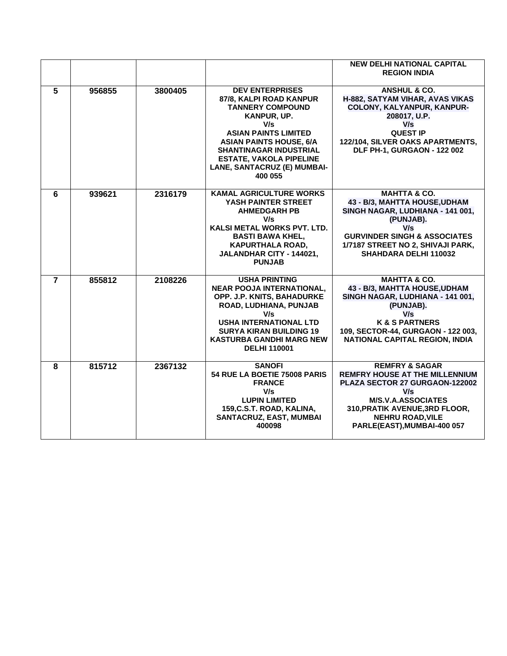|                |        |         |                                                                                                                                                                                                                                                                                  | <b>NEW DELHI NATIONAL CAPITAL</b><br><b>REGION INDIA</b>                                                                                                                                                                             |
|----------------|--------|---------|----------------------------------------------------------------------------------------------------------------------------------------------------------------------------------------------------------------------------------------------------------------------------------|--------------------------------------------------------------------------------------------------------------------------------------------------------------------------------------------------------------------------------------|
| 5              | 956855 | 3800405 | <b>DEV ENTERPRISES</b><br>87/8, KALPI ROAD KANPUR<br><b>TANNERY COMPOUND</b><br>KANPUR, UP.<br>V/s<br><b>ASIAN PAINTS LIMITED</b><br><b>ASIAN PAINTS HOUSE, 6/A</b><br><b>SHANTINAGAR INDUSTRIAL</b><br><b>ESTATE, VAKOLA PIPELINE</b><br>LANE, SANTACRUZ (E) MUMBAI-<br>400 055 | <b>ANSHUL &amp; CO.</b><br>H-882, SATYAM VIHAR, AVAS VIKAS<br>COLONY, KALYANPUR, KANPUR-<br>208017, U.P.<br>V/s<br><b>QUEST IP</b><br>122/104, SILVER OAKS APARTMENTS,<br>DLF PH-1, GURGAON - 122 002                                |
| 6              | 939621 | 2316179 | <b>KAMAL AGRICULTURE WORKS</b><br>YASH PAINTER STREET<br><b>AHMEDGARH PB</b><br>V/s<br><b>KALSI METAL WORKS PVT. LTD.</b><br><b>BASTI BAWA KHEL,</b><br><b>KAPURTHALA ROAD.</b><br>JALANDHAR CITY - 144021,<br><b>PUNJAB</b>                                                     | <b>MAHTTA &amp; CO.</b><br>43 - B/3, MAHTTA HOUSE, UDHAM<br>SINGH NAGAR, LUDHIANA - 141 001,<br>(PUNJAB).<br>V/s<br><b>GURVINDER SINGH &amp; ASSOCIATES</b><br>1/7187 STREET NO 2, SHIVAJI PARK,<br>SHAHDARA DELHI 110032            |
| $\overline{7}$ | 855812 | 2108226 | <b>USHA PRINTING</b><br><b>NEAR POOJA INTERNATIONAL,</b><br>OPP. J.P. KNITS, BAHADURKE<br>ROAD, LUDHIANA, PUNJAB<br>V/s<br><b>USHA INTERNATIONAL LTD</b><br><b>SURYA KIRAN BUILDING 19</b><br><b>KASTURBA GANDHI MARG NEW</b><br><b>DELHI 110001</b>                             | <b>MAHTTA &amp; CO.</b><br>43 - B/3, MAHTTA HOUSE, UDHAM<br>SINGH NAGAR, LUDHIANA - 141 001,<br>(PUNJAB).<br>V/s<br><b>K &amp; S PARTNERS</b><br>109, SECTOR-44, GURGAON - 122 003,<br>NATIONAL CAPITAL REGION, INDIA                |
| 8              | 815712 | 2367132 | <b>SANOFI</b><br>54 RUE LA BOETIE 75008 PARIS<br><b>FRANCE</b><br>V/s<br><b>LUPIN LIMITED</b><br>159, C.S.T. ROAD, KALINA,<br>SANTACRUZ, EAST, MUMBAI<br>400098                                                                                                                  | <b>REMFRY &amp; SAGAR</b><br><b>REMFRY HOUSE AT THE MILLENNIUM</b><br>PLAZA SECTOR 27 GURGAON-122002<br>V/s<br><b>M/S.V.A.ASSOCIATES</b><br>310, PRATIK AVENUE, 3RD FLOOR,<br><b>NEHRU ROAD, VILE</b><br>PARLE(EAST), MUMBAI-400 057 |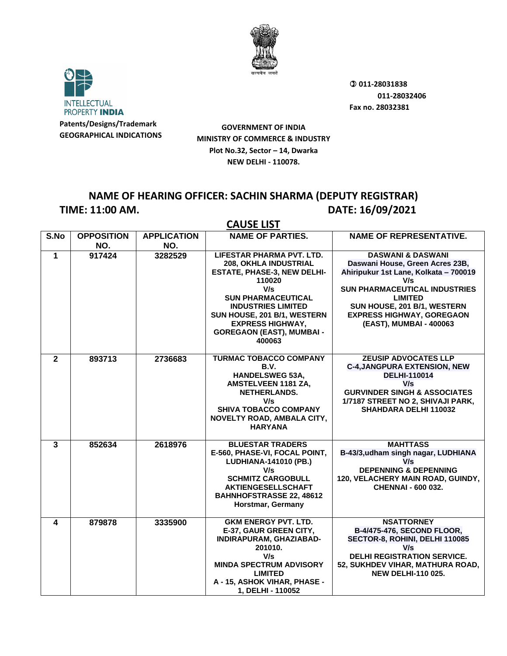



**GOVERNMENT OF INDIA MINISTRY OF COMMERCE & INDUSTRY Plot No.32, Sector – 14, Dwarka NEW DELHI - 110078.**

### **NAME OF HEARING OFFICER: SACHIN SHARMA (DEPUTY REGISTRAR) TIME: 11:00 AM. DATE: 16/09/2021**

|                | <b>CAUSE LIST</b>        |                           |                                                                                                                                                                                                                                                                             |                                                                                                                                                                                                                                                                         |  |
|----------------|--------------------------|---------------------------|-----------------------------------------------------------------------------------------------------------------------------------------------------------------------------------------------------------------------------------------------------------------------------|-------------------------------------------------------------------------------------------------------------------------------------------------------------------------------------------------------------------------------------------------------------------------|--|
| S.No           | <b>OPPOSITION</b><br>NO. | <b>APPLICATION</b><br>NO. | <b>NAME OF PARTIES.</b>                                                                                                                                                                                                                                                     | <b>NAME OF REPRESENTATIVE.</b>                                                                                                                                                                                                                                          |  |
| $\mathbf{1}$   | 917424                   | 3282529                   | LIFESTAR PHARMA PVT. LTD.<br>208, OKHLA INDUSTRIAL<br><b>ESTATE, PHASE-3, NEW DELHI-</b><br>110020<br>V/s<br><b>SUN PHARMACEUTICAL</b><br><b>INDUSTRIES LIMITED</b><br>SUN HOUSE, 201 B/1, WESTERN<br><b>EXPRESS HIGHWAY,</b><br><b>GOREGAON (EAST), MUMBAI -</b><br>400063 | <b>DASWANI &amp; DASWANI</b><br>Daswani House, Green Acres 23B,<br>Ahiripukur 1st Lane, Kolkata - 700019<br>V/s<br><b>SUN PHARMACEUTICAL INDUSTRIES</b><br><b>LIMITED</b><br>SUN HOUSE, 201 B/1, WESTERN<br><b>EXPRESS HIGHWAY, GOREGAON</b><br>(EAST), MUMBAI - 400063 |  |
| $\overline{2}$ | 893713                   | 2736683                   | <b>TURMAC TOBACCO COMPANY</b><br>B.V.<br><b>HANDELSWEG 53A,</b><br>AMSTELVEEN 1181 ZA,<br>NETHERLANDS.<br>V/s<br><b>SHIVA TOBACCO COMPANY</b><br>NOVELTY ROAD, AMBALA CITY,<br><b>HARYANA</b>                                                                               | <b>ZEUSIP ADVOCATES LLP</b><br><b>C-4, JANGPURA EXTENSION, NEW</b><br><b>DELHI-110014</b><br>V/s<br><b>GURVINDER SINGH &amp; ASSOCIATES</b><br>1/7187 STREET NO 2, SHIVAJI PARK,<br><b>SHAHDARA DELHI 110032</b>                                                        |  |
| $\overline{3}$ | 852634                   | 2618976                   | <b>BLUESTAR TRADERS</b><br>E-560, PHASE-VI, FOCAL POINT,<br>LUDHIANA-141010 (PB.)<br>V/s<br><b>SCHMITZ CARGOBULL</b><br><b>AKTIENGESELLSCHAFT</b><br><b>BAHNHOFSTRASSE 22, 48612</b><br>Horstmar, Germany                                                                   | <b>MAHTTASS</b><br>B-43/3, udham singh nagar, LUDHIANA<br>V/s<br><b>DEPENNING &amp; DEPENNING</b><br>120, VELACHERY MAIN ROAD, GUINDY,<br><b>CHENNAI - 600 032.</b>                                                                                                     |  |
| 4              | 879878                   | 3335900                   | <b>GKM ENERGY PVT. LTD.</b><br>E-37, GAUR GREEN CITY,<br>INDIRAPURAM, GHAZIABAD-<br>201010.<br>V/s<br><b>MINDA SPECTRUM ADVISORY</b><br><b>LIMITED</b><br>A - 15, ASHOK VIHAR, PHASE -<br>1, DELHI - 110052                                                                 | <b>NSATTORNEY</b><br>B-4/475-476, SECOND FLOOR,<br>SECTOR-8, ROHINI, DELHI 110085<br>V/s<br><b>DELHI REGISTRATION SERVICE.</b><br>52, SUKHDEV VIHAR, MATHURA ROAD,<br><b>NEW DELHI-110 025.</b>                                                                         |  |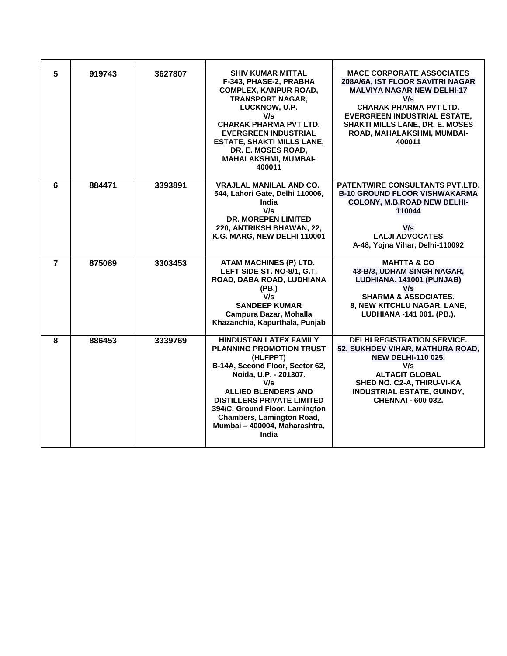| 5              | 919743 | 3627807 | <b>SHIV KUMAR MITTAL</b><br>F-343, PHASE-2, PRABHA<br><b>COMPLEX, KANPUR ROAD,</b><br><b>TRANSPORT NAGAR.</b><br>LUCKNOW, U.P.<br>V/s<br><b>CHARAK PHARMA PVT LTD.</b><br><b>EVERGREEN INDUSTRIAL</b><br><b>ESTATE, SHAKTI MILLS LANE,</b><br>DR. E. MOSES ROAD.<br><b>MAHALAKSHMI, MUMBAI-</b><br>400011                          | <b>MACE CORPORATE ASSOCIATES</b><br>208A/6A, IST FLOOR SAVITRI NAGAR<br><b>MALVIYA NAGAR NEW DELHI-17</b><br>V/s<br><b>CHARAK PHARMA PVT LTD.</b><br><b>EVERGREEN INDUSTRIAL ESTATE.</b><br>SHAKTI MILLS LANE, DR. E. MOSES<br>ROAD, MAHALAKSHMI, MUMBAI-<br>400011 |
|----------------|--------|---------|------------------------------------------------------------------------------------------------------------------------------------------------------------------------------------------------------------------------------------------------------------------------------------------------------------------------------------|---------------------------------------------------------------------------------------------------------------------------------------------------------------------------------------------------------------------------------------------------------------------|
| 6              | 884471 | 3393891 | <b>VRAJLAL MANILAL AND CO.</b><br>544, Lahori Gate, Delhi 110006,<br>India<br>V/s<br><b>DR. MOREPEN LIMITED</b><br>220, ANTRIKSH BHAWAN, 22,<br>K.G. MARG, NEW DELHI 110001                                                                                                                                                        | <b>PATENTWIRE CONSULTANTS PVT.LTD.</b><br><b>B-10 GROUND FLOOR VISHWAKARMA</b><br><b>COLONY, M.B.ROAD NEW DELHI-</b><br>110044<br>V/s<br><b>LALJI ADVOCATES</b><br>A-48, Yojna Vihar, Delhi-110092                                                                  |
| $\overline{7}$ | 875089 | 3303453 | <b>ATAM MACHINES (P) LTD.</b><br>LEFT SIDE ST. NO-8/1, G.T.<br>ROAD, DABA ROAD, LUDHIANA<br>(PB.)<br>V/s<br><b>SANDEEP KUMAR</b><br>Campura Bazar, Mohalla<br>Khazanchia, Kapurthala, Punjab                                                                                                                                       | <b>MAHTTA &amp; CO</b><br>43-B/3, UDHAM SINGH NAGAR,<br>LUDHIANA. 141001 (PUNJAB)<br>V/s<br><b>SHARMA &amp; ASSOCIATES.</b><br>8, NEW KITCHLU NAGAR, LANE,<br>LUDHIANA -141 001. (PB.).                                                                             |
| 8              | 886453 | 3339769 | <b>HINDUSTAN LATEX FAMILY</b><br><b>PLANNING PROMOTION TRUST</b><br>(HLFPPT)<br>B-14A, Second Floor, Sector 62,<br>Noida, U.P. - 201307.<br>V/s<br><b>ALLIED BLENDERS AND</b><br><b>DISTILLERS PRIVATE LIMITED</b><br>394/C, Ground Floor, Lamington<br><b>Chambers, Lamington Road,</b><br>Mumbai - 400004, Maharashtra,<br>India | <b>DELHI REGISTRATION SERVICE.</b><br>52, SUKHDEV VIHAR, MATHURA ROAD,<br><b>NEW DELHI-110 025.</b><br>V/s<br><b>ALTACIT GLOBAL</b><br>SHED NO. C2-A, THIRU-VI-KA<br><b>INDUSTRIAL ESTATE, GUINDY,</b><br><b>CHENNAI - 600 032.</b>                                 |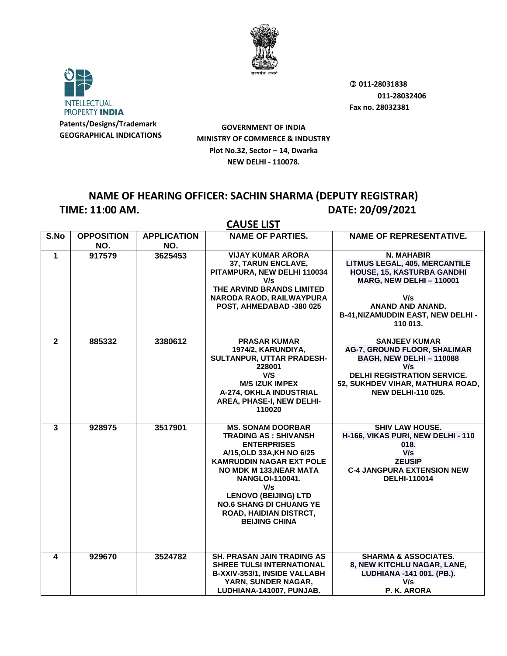



**GOVERNMENT OF INDIA MINISTRY OF COMMERCE & INDUSTRY Plot No.32, Sector – 14, Dwarka NEW DELHI - 110078.**

### **NAME OF HEARING OFFICER: SACHIN SHARMA (DEPUTY REGISTRAR) TIME: 11:00 AM. DATE: 20/09/2021**

|                         | <b>CAUSE LIST</b>        |                           |                                                                                                                                                                                                                                                                                                                                      |                                                                                                                                                                                                      |  |
|-------------------------|--------------------------|---------------------------|--------------------------------------------------------------------------------------------------------------------------------------------------------------------------------------------------------------------------------------------------------------------------------------------------------------------------------------|------------------------------------------------------------------------------------------------------------------------------------------------------------------------------------------------------|--|
| S.No                    | <b>OPPOSITION</b><br>NO. | <b>APPLICATION</b><br>NO. | <b>NAME OF PARTIES.</b>                                                                                                                                                                                                                                                                                                              | <b>NAME OF REPRESENTATIVE.</b>                                                                                                                                                                       |  |
| $\mathbf 1$             | 917579                   | 3625453                   | <b>VIJAY KUMAR ARORA</b><br>37, TARUN ENCLAVE,<br>PITAMPURA, NEW DELHI 110034<br>V/s<br>THE ARVIND BRANDS LIMITED<br>NARODA RAOD, RAILWAYPURA<br>POST, AHMEDABAD -380 025                                                                                                                                                            | N. MAHABIR<br><b>LITMUS LEGAL, 405, MERCANTILE</b><br>HOUSE, 15, KASTURBA GANDHI<br><b>MARG, NEW DELHI-110001</b><br>V/s<br>ANAND AND ANAND.<br><b>B-41, NIZAMUDDIN EAST, NEW DELHI-</b><br>110 013. |  |
| $\mathbf{2}$            | 885332                   | 3380612                   | <b>PRASAR KUMAR</b><br>1974/2, KARUNDIYA,<br><b>SULTANPUR, UTTAR PRADESH-</b><br>228001<br>V/S<br><b>M/S IZUK IMPEX</b><br>A-274, OKHLA INDUSTRIAL<br>AREA, PHASE-I, NEW DELHI-<br>110020                                                                                                                                            | <b>SANJEEV KUMAR</b><br>AG-7, GROUND FLOOR, SHALIMAR<br><b>BAGH, NEW DELHI-110088</b><br>V/s<br><b>DELHI REGISTRATION SERVICE.</b><br>52, SUKHDEV VIHAR, MATHURA ROAD,<br><b>NEW DELHI-110 025.</b>  |  |
| $\overline{3}$          | 928975                   | 3517901                   | <b>MS. SONAM DOORBAR</b><br>TRADING AS : SHIVANSH<br><b>ENTERPRISES</b><br>A/15, OLD 33A, KH NO 6/25<br><b>KAMRUDDIN NAGAR EXT POLE</b><br><b>NO MDK M 133, NEAR MATA</b><br><b>NANGLOI-110041.</b><br>V/s<br><b>LENOVO (BEIJING) LTD</b><br><b>NO.6 SHANG DI CHUANG YE</b><br><b>ROAD, HAIDIAN DISTRCT,</b><br><b>BEIJING CHINA</b> | <b>SHIV LAW HOUSE.</b><br>H-166, VIKAS PURI, NEW DELHI - 110<br>018.<br>V/s<br><b>ZEUSIP</b><br><b>C-4 JANGPURA EXTENSION NEW</b><br><b>DELHI-110014</b>                                             |  |
| $\overline{\mathbf{4}}$ | 929670                   | 3524782                   | <b>SH. PRASAN JAIN TRADING AS</b><br><b>SHREE TULSI INTERNATIONAL</b><br>B-XXIV-353/1, INSIDE VALLABH<br>YARN, SUNDER NAGAR,<br>LUDHIANA-141007, PUNJAB.                                                                                                                                                                             | <b>SHARMA &amp; ASSOCIATES.</b><br>8, NEW KITCHLU NAGAR, LANE,<br>LUDHIANA -141 001. (PB.).<br>V/s<br>P. K. ARORA                                                                                    |  |